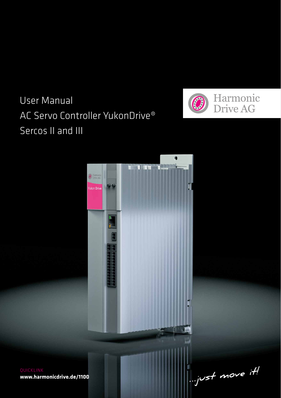# User Manual AC Servo Controller YukonDrive® Sercos II and III





**www.harmonicdrive.de/1100**

 $\mathbb{L}$  yust move it!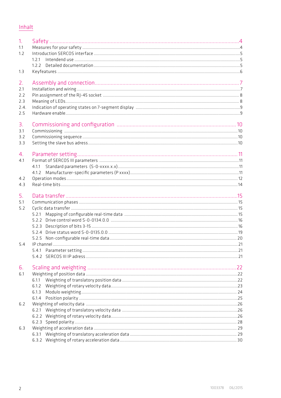|--|

| 1.<br>1.1<br>1.2<br>1.3                | 1.7.1          |  |
|----------------------------------------|----------------|--|
| 2.<br>7.1<br>7.7<br>2.3<br>7.4.<br>2.5 |                |  |
| З.<br>3.1<br>3.2<br>3.3                |                |  |
| 4.<br>4.1                              | 4.1.1<br>4.1.2 |  |
| 4.2<br>4.3                             |                |  |
| 5.<br>5.1<br>5.2                       |                |  |
| 5.4                                    |                |  |
| 6.<br>6.1                              | 6.1.1<br>6.1.3 |  |
| 6.2                                    | 6.2.1          |  |
| 6.3                                    |                |  |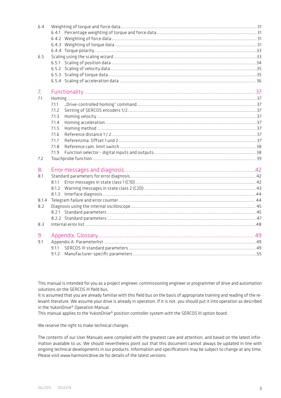| 6.4            |       |  |
|----------------|-------|--|
|                |       |  |
|                |       |  |
|                |       |  |
|                |       |  |
| 6.5            |       |  |
|                |       |  |
|                |       |  |
|                |       |  |
|                |       |  |
| 7 <sub>1</sub> |       |  |
| 7.1            |       |  |
|                | 7.1.1 |  |
|                | 7.1.2 |  |
|                | 7.1.3 |  |
|                | 7.1.4 |  |
|                | 7.1.5 |  |
|                | 7.1.6 |  |
|                | 7.1.7 |  |
|                | 7.1.8 |  |
|                | 7.1.9 |  |
| 7.2            |       |  |
| 8.             |       |  |
| 8.1            |       |  |
|                |       |  |
|                |       |  |
|                |       |  |
| 8.1.4          |       |  |
| 8.2            |       |  |
|                |       |  |
|                |       |  |
| 8.3            |       |  |
| 9              |       |  |
| 9.1            |       |  |
|                |       |  |
|                |       |  |
|                |       |  |

This manual is intended for you as a project engineer, commissioning engineer or programmer of drive and automation solutions on the SERCOS III field bus.

It is assumed that you are already familiar with this field bus on the basis of appropriate training and reading of the relevant literature. We assume your drive is already in operation. If it is not, you should put it into operation as described in the YukonDrive® Operation Manual.

This manual applies to the YukonDrive® position controller system with the SERCOS III option board.

We reserve the right to make technical changes.

The contents of our User Manuals were compiled with the greatest care and attention, and based on the latest information available to us. We should nevertheless point out that this document cannot always be updated in line with ongoing technical developments in our products. Information and specifications may be subject to change at any time. Please visit www.harmonicdrive.de for details of the latest versions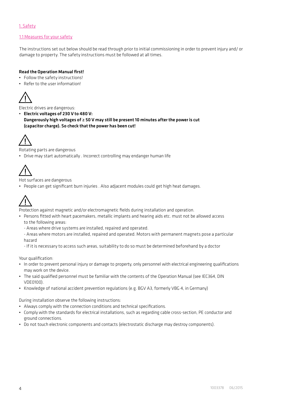# 1. Safety

## 1.1 Measures for your safety

The instructions set out below should be read through prior to initial commissioning in order to prevent injury and/ or damage to property. The safety instructions must be followed at all times.

## Read the Operation Manual first!

- Follow the safety instructions!
- Refer to the user information!



Electric drives are dangerous:

• Electric voltages of 230 V to 480 V: Dangerously high voltages of ≥ 50 V may still be present 10 minutes after the power is cut (capacitor charge). So check that the power has been cut!



Rotating parts are dangerous

• Drive may start automatically . Incorrect controlling may endanger human life



Hot surfaces are dangerous

• People can get significant burn injuries . Also adjacent modules could get high heat damages.



Protection against magnetic and/or electromagnetic fields during installation and operation.

- Persons fitted with heart pacemakers, metallic implants and hearing aids etc. must not be allowed access to the following areas:
	- Areas where drive systems are installed, repaired and operated.

- Areas where motors are installed, repaired and operated. Motors with permanent magnets pose a particular hazard

- If it is necessary to access such areas, suitability to do so must be determined beforehand by a doctor

Your qualification:

- In order to prevent personal injury or damage to property, only personnel with electrical engineering qualifications may work on the device.
- The said qualified personnel must be familiar with the contents of the Operation Manual (see IEC364, DIN VDE0100)
- Knowledge of national accident prevention regulations (e.g. BGV A3, formerly VBG 4, in Germany)

During installation observe the following instructions:

- Always comply with the connection conditions and technical specifications.
- Comply with the standards for electrical installations, such as regarding cable cross-section, PE conductor and ground connections.
- Do not touch electronic components and contacts (electrostatic discharge may destroy components).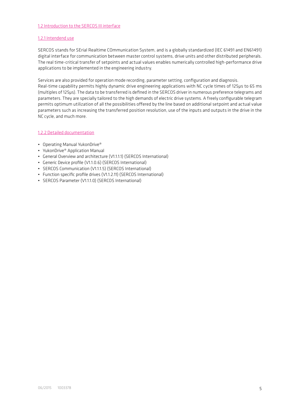## 1.2 Introduction to the SERCOS III interface

#### 1.2.1 Intendend use

SERCOS stands for SErial Realtime COmmunication System, and is a globally standardized (IEC 61491 and EN61491) digital interface for communication between master control systems, drive units and other distributed peripherals. The real time-critical transfer of setpoints and actual values enables numerically controlled high-performance drive applications to be implemented in the engineering industry.

Services are also provided for operation mode recording, parameter setting, configuration and diagnosis.

Real-time capability permits highly dynamic drive engineering applications with NC cycle times of 125μs to 65 ms (multiples of 125μs). The data to be transferred is defined in the SERCOS driver in numerous preference telegrams and parameters. They are specially tailored to the high demands of electric drive systems. A freely configurable telegram permits optimum utilization of all the possibilities offered by the line based on additional setpoint and actual value parameters such as increasing the transferred position resolution, use of the inputs and outputs in the drive in the NC cycle, and much more.

## 1.2.2 Detailed documentation

- Operating Manual YukonDrive®
- YukonDrive® Application Manual
- General Overview and architecture (V1.1.1.1) (SERCOS International)
- Generic Device profile (V1.1.0.6) (SERCOS International)
- SERCOS Communication (V1.1.1.5) (SERCOS International)
- Function specific profile drives (V1.1.2.11) (SERCOS International)
- SERCOS Parameter (V1110) (SERCOS International)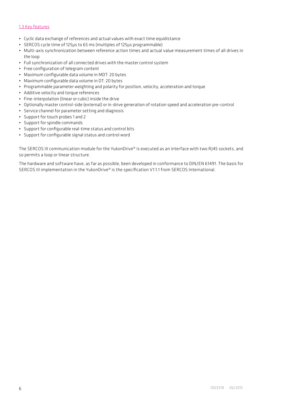## 1.3 Key features

- Cyclic data exchange of references and actual values with exact time equidistance
- SERCOS cycle time of 125μs to 65 ms (multiples of 125μs programmable)
- Multi-axis synchronization between reference action times and actual value measurement times of all drives in the loop
- Full synchronization of all connected drives with the master control system
- Free configuration of telegram content
- Maximum configurable data volume in MDT: 20 bytes
- Maximum configurable data volume in DT: 20 bytes
- Programmable parameter weighting and polarity for position, velocity, acceleration and torque
- Additive velocity and torque references
- Fine-interpolation (linear or cubic) inside the drive
- Optionally master control-side (external) or in-drive generation of rotation speed and acceleration pre-control
- Service channel for parameter setting and diagnosis
- Support for touch probes 1 and 2
- Support for spindle commands
- Support for configurable real-time status and control bits
- Support for configurable signal status and control word

The SERCOS III communication module for the YukonDrive® is executed as an interface with two RJ45 sockets, and so permits a loop or linear structure.

The hardware and software have, as far as possible, been developed in conformance to DIN/EN 61491. The basis for SERCOS III implementation in the YukonDrive® is the specification V1.1.1 from SERCOS International.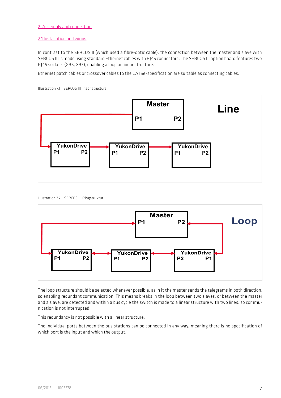## 2. Assembly and connection

#### 2.1 Installation and wiring

In contrast to the SERCOS II (which used a fibre-optic cable), the connection between the master and slave with SERCOS III is made using standard Ethernet cables with RJ45 connectors. The SERCOS III option board features two RJ45 sockets (X36, X37), enabling a loop or linear structure.

Ethernet patch cables or crossover cables to the CAT5e-specification are suitable as connecting cables.





Illustration 7.2 SERCOS III Ringstruktur



The loop structure should be selected whenever possible, as in it the master sends the telegrams in both direction, so enabling redundant communication. This means breaks in the loop between two slaves, or between the master and a slave, are detected and within a bus cycle the switch is made to a linear structure with two lines, so communication is not interrupted.

This redundancy is not possible with a linear structure.

The individual ports between the bus stations can be connected in any way, meaning there is no specification of which port is the input and which the output.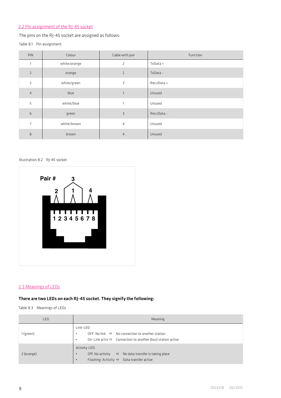# 2.2 Pin assignment of the RJ-45 socket

The pins on the RJ-45 socket are assigned as follows:

```
Table 8.1 Pin assignment
```

| <b>PIN</b>     | Colour       | Cable with pair | Function   |
|----------------|--------------|-----------------|------------|
| 1              | white/orange | $\overline{2}$  | TxData +   |
| $\overline{2}$ | orange       | 2               | TxData-    |
| 3              | white/green  | 3               | RecvData + |
| $\overline{4}$ | blue         | 1               | Unused     |
| 5              | white/blue   | $\mathbf{1}$    | Unused     |
| 6              | green        | $\overline{3}$  | RecyData-  |
| $\overline{7}$ | white/brown  | $\overline{4}$  | Unused     |
| 8              | brown        | $\overline{4}$  | Unused     |

Illustration 8.2 RJ-45 socket



# 2.3 Meanings of LEDs

# There are two LEDs on each RJ-45 socket. They signify the following:

Table 8.3 Meanings of LEDs

| LED        | Meaning                                                                                                                                                                   |  |  |
|------------|---------------------------------------------------------------------------------------------------------------------------------------------------------------------------|--|--|
| 1 (green)  | Link-LED:<br>OFF: No link $\Rightarrow$ No connection to another station<br>$\bullet$<br>On: Link activ $\Rightarrow$ Connection to another (bus) station active<br>٠     |  |  |
| 2 (orange) | Activity-LED:<br>Off: No activity<br>No data transfer is taking place<br>$\Rightarrow$<br>$\bullet$<br>Flashing: Activity $\Rightarrow$ Data transfer active<br>$\bullet$ |  |  |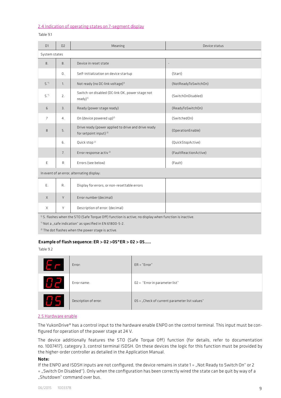#### 2.4 Indication of operating states on 7-segment display

## Table 9.1

| $\n  n\n$      | $\Box$     | Meaning                                                                                  | Device status            |
|----------------|------------|------------------------------------------------------------------------------------------|--------------------------|
| System states  |            |                                                                                          |                          |
| 8.             | 8.         | Device in reset state                                                                    | $\overline{\phantom{a}}$ |
|                | $\Omega$ . | Self-initialization on device startup                                                    | (Start)                  |
| $\varsigma$ .  | 1.         | Not ready (no DC-link voltage) <sup>1)</sup>                                             | (NotReadyToSwitchOn)     |
| $\varsigma$ .  | 2.         | Switch-on disabled (DC-link OK, power stage not<br>$readv)$ <sup>1)</sup>                | (SwitchOnDisabled)       |
| 6              | 3.         | Ready (power stage ready)                                                                | (ReadyToSwitchOn)        |
| $\overline{7}$ | 4.         | On (device powered up) <sup>2)</sup>                                                     | (SwitchedOn)             |
| $\mathbf{8}$   | 5.         | Drive ready (power applied to drive and drive ready<br>for setpoint input) <sup>2)</sup> | (OperationEnable)        |
|                | 6.         | Quick stop <sup>2)</sup>                                                                 | (QuickStopActive)        |
|                | 7.         | Error response activ <sup>2)</sup>                                                       | (FaultReactionActive)    |
| E              | R          | Errors (see below)                                                                       | (Fault)                  |
|                |            | In event of an error, alternating display:                                               |                          |
|                |            |                                                                                          |                          |

| Ŀ.           | R.         | Display for errors, or non-resettable errors |  |
|--------------|------------|----------------------------------------------|--|
| $\times$     | $\sqrt{ }$ | Error number (decimal)                       |  |
| $\checkmark$ | $\sqrt{ }$ | Description of error: (decimal)              |  |

1) S. flashes when the STO (Safe Torque Off) function is active; no display when function is inactive.

\*) Not a "safe indication" as specified in EN 61800-5-2.

2) The dot flashes when the power stage is active.

#### Example of flash sequence: ER > 02 >05\*ER > 02 > 05.....

Table 9.2

| $E_{\rm F}$ | Error:                | $ER = "Error"$                                |
|-------------|-----------------------|-----------------------------------------------|
| $H$ $\Xi^-$ | Error name:           | 02 = "Error in parameter list"                |
| 851         | Description of error: | 05 = "Check of current parameter list values" |

## 2.5 Hardware enable

The YukonDrive® has a control input to the hardware enable ENPO on the control terminal. This input must be configured for operation of the power stage at 24 V.

The device additionally features the STO (Safe Torque Off) function (for details, refer to documentation no. 1007417), category 3, control terminal ISDSH. On these devices the logic for this function must be provided by the higher-order controller as detailed in the Application Manual.

## Note:

If the ENPO and ISDSH inputs are not configured, the device remains in state 1 = "Not Ready to Switch On" or 2 = "Switch On Disabled"). Only when the configuration has been correctly wired the state can be quit by way of a Shutdown" command over hus.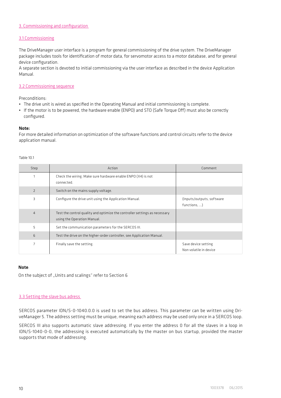## 3. Commissioning and configuration

## 3.1 Commissioning

The DriveManager user interface is a program for general commissioning of the drive system. The DriveManager package includes tools for identification of motor data, for servomotor access to a motor database, and for general device configuration.

A separate section is devoted to initial commissioning via the user interface as described in the device Application Manual.

#### 3.2 Commissioning sequence

Preconditions:

- The drive unit is wired as specified in the Operating Manual and initial commissioning is complete.
- If the motor is to be powered, the hardware enable (ENPO) and STO (Safe Torque Off) must also be correctly configured.

#### Note:

For more detailed information on optimization of the software functions and control circuits refer to the device application manual.

Table 10.1

| Step           | Action                                                                                                    | Comment                                       |
|----------------|-----------------------------------------------------------------------------------------------------------|-----------------------------------------------|
|                | Check the wiring. Make sure hardware enable ENPO (X4) is not<br>connected.                                |                                               |
| $\overline{2}$ | Switch on the mains supply voltage.                                                                       |                                               |
| 3              | Configure the drive unit using the Application Manual.                                                    | (Inputs/outputs, software<br>functions, )     |
| $\overline{4}$ | Test the control quality and optimize the controller settings as necessary<br>using the Operation Manual. |                                               |
| 5              | Set the communication parameters for the SERCOS III.                                                      |                                               |
| 6              | Test the drive on the higher-order controller, see Application Manual.                                    |                                               |
| 7              | Finally save the setting.                                                                                 | Save device setting<br>Non volatile in device |

#### Note:

On the subject of "Units and scalings" refer to Section 6

## 3.3 Setting the slave bus adress

SERCOS parameter IDN/S-0-1040.0.0 is used to set the bus address. This parameter can be written using DriveManager 5. The address setting must be unique, meaning each address may be used only once in a SERCOS loop.

SERCOS III also supports automatic slave addressing. If you enter the address 0 for all the slaves in a loop in IDN/S-1040-0-0, the addressing is executed automatically by the master on bus startup, provided the master supports that mode of addressing.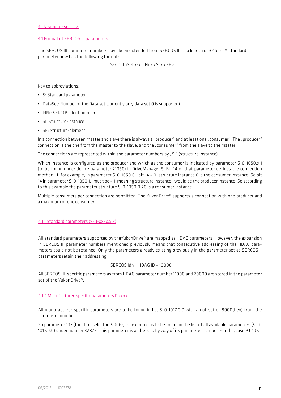#### 4. Parameter setting

#### 4.1 Format of SERCOS III parameters

The SERCOS III parameter numbers have been extended from SERCOS II, to a length of 32 bits. A standard parameter now has the following format:

S-<DataSet>-<IdNr>.<SI>.<SE>

Key to abbreviations:

- S: Standard parameter
- DataSet: Number of the Data set (currently only data set 0 is supported)
- IdNr: SERCOS Ident number
- SI: Structure-instance
- SE: Structure-element

In a connection between master and slave there is always a "producer" and at least one "consumer". The "producer" connection is the one from the master to the slave, and the "consumer" from the slave to the master.

The connections are represented within the parameter numbers by "SI" (structure instance).

Which instance is configured as the producer and which as the consumer is indicated by parameter S-0-1050.x.1 (to be found under device parameter 21050) in DriveManager 5. Bit 14 of that parameter defines the connection method. If, for example, in parameter S-0-1050.0.1 bit 14 = 0, structure instance 0 is the consumer instance. So bit 14 in parameter S-0-1050.1.1 must be = 1, meaning structure instance 1 would be the producer instance. So according to this example the parameter structure S-0-1050.0.20 is a consumer instance.

Multiple consumers per connection are permitted. The YukonDrive® supports a connection with one producer and a maximum of one consumer.

#### 4.1.1 Standard parameters (S-0-xxxx.x.x)

All standard parameters supported by theYukonDrive® are mapped as HDAG parameters. However, the expansion in SERCOS III parameter numbers mentioned previously means that consecutive addressing of the HDAG parameters could not be retained. Only the parameters already existing previously in the parameter set as SERCOS II parameters retain their addressing:

#### $SFRCOS$   $Idn = HDAC$   $ID = 10000$

All SERCOS III-specific parameters as from HDAG parameter number 11000 and 20000 are stored in the parameter set of the YukonDrive®.

#### 4.1.2 Manufacturer-specific parameters P xxxx

All manufacturer-specific parameters are to be found in list S-0-1017.0.0 with an offset of 8000(hex) from the parameter number.

So parameter 107 (function selector ISD06), for example, is to be found in the list of all available parameters (S-0- 1017.0.0) under number 32875. This parameter is addressed by way of its parameter number - in this case P 0107.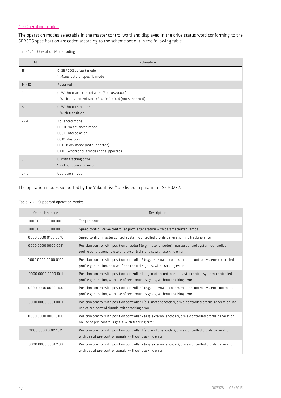## 4.2 Operation modes

The operation modes selectable in the master control word and displayed in the drive status word conforming to the SERCOS specification are coded according to the scheme set out in the following table.

Table 12.1 Operation Mode coding

| Bit            | Explanation                                                                                                                                                       |
|----------------|-------------------------------------------------------------------------------------------------------------------------------------------------------------------|
| 15             | 0: SERCOS default mode<br>1: Manufacturer specific mode                                                                                                           |
| $14 - 10$      | Reserved                                                                                                                                                          |
| 9              | 0: Without axis control word (S-0-0520.0.0)<br>1: With axis control word (S-0-0520.0.0) (not supported)                                                           |
| 8              | 0: Without transition<br>1: With transition                                                                                                                       |
| $7 - 4$        | Advanced mode<br>0000: No advanced mode<br>0001: Interpolation<br>0010: Positioning<br>0011: Block mode (not supported)<br>0100: Synchronous mode (not supported) |
| $\overline{3}$ | 0: with tracking error<br>1: without tracking error                                                                                                               |
| $2 - 0$        | Operation mode                                                                                                                                                    |

The operation modes supported by the YukonDrive® are listed in parameter S-0-0292.

## Table 12.2 Supported operation modes

| Operation mode      | Description                                                                                                                                                                          |
|---------------------|--------------------------------------------------------------------------------------------------------------------------------------------------------------------------------------|
| 0000 0000 0000 0001 | Torque control                                                                                                                                                                       |
|                     | Speed control, drive-controlled profile generation with parameterized ramps                                                                                                          |
| 0000 0000 0100 0010 | Speed control, master control system-controlled profile generation, no tracking error                                                                                                |
| 0000 0000 0000 0011 | Position control with position encoder 1 (e.g. motor encoder), master control system-controlled<br>profile generation, no use of pre-control signals, with tracking error            |
| 0000 0000 0000 0100 | Position control with position controller 2 (e.g. external encoder), master control system-controlled<br>profile generation, no use of pre-control signals, with tracking error      |
| 0000 0000 0000 1011 | Position control with position controller 1 (e.g. motor controller), master control system-controlled<br>profile generation, with use of pre-control signals, without tracking error |
| 0000 0000 0000 1100 | Position control with position controller 2 (e.g. external encoder), master control system-controlled<br>profile generation, with use of pre-control signals, without tracking error |
| 0000 0000 0001 0011 | Position control with position controller 1 (e.g. motor encoder), drive-controlled profile generation, no<br>use of pre-control signals, with tracking error                         |
| 0000 0000 0001 0100 | Position control with position controller 2 (e.g. external encoder), drive-controlled profile generation,<br>no use of pre-control signals, with tracking error                      |
| 0000 0000 00011011  | Position control with position controller 1 (e.g. motor encoder), drive-controlled profile generation,<br>with use of pre-control signals, without tracking error                    |
| 0000 0000 00011100  | Position control with position controller 2 (e.g. external encoder), drive-controlled profile generation,<br>with use of pre-control signals, without tracking error                 |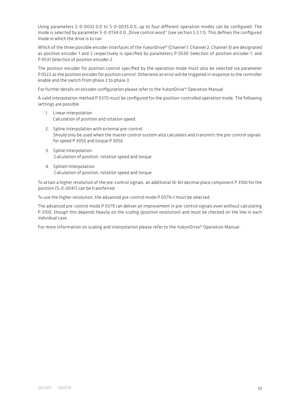Using parameters S-0-0032.0.0 to S-0-0035.0.0, up to four different operation modes can be configured. The mode is selected by parameter S-0-0134.0.0 "Drive control word" (see section 5.2.1.1). This defines the configured mode in which the drive is to run.

Which of the three possible encoder interfaces of the YukonDrive® (Channel 1, Channel 2, Channel 3) are designated as position encoder 1 and 2 respectively is specified by parameters P 0530 Selection of position encoder 1, and P 0531 Selection of position encoder 2.

The position encoder for position control specified by the operation mode must also be selected via parameter P 0522 as the position encoder for position control. Otherwise an error will be triggered in response to the controller enable and the switch from phase 2 to phase 3.

For further details on encoder configuration please refer to the YukonDrive® Operation Manual.

A valid interpolation method P 0370 must be configured for the position-controlled operation mode. The following settings are possible:

- 1. Linear interpolation Calculation of position and rotation speed
- 2. Spline interpolation with external pre-control. Should only be used when the master control system also calculates and transmits the pre-control signals for speed P 3055 and torque P 3056
- 3. Spline Interpolation Calculation of position, rotation speed and torque
- 4. SplineII Interpolation Calculation of position, rotation speed and torque

To attain a higher resolution of the pre-control signals, an additional 16-bit decimal place component P 3100 for the position (S-0-0047) can be transferred.

To use the higher resolution, the advanced pre-control mode P 0379=1 must be selected.

The advanced pre-control mode P 0379 can deliver an improvement in pre-control signals even without calculating P 3100, though this depends heavily on the scaling (position resolution) and must be checked on the line in each individual case.

For more information on scaling and interpolation please refer to the YukonDrive® Operation Manual.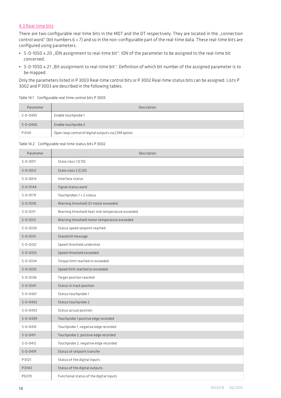# 4.3 Real-time bits

There are two configurable real-time bits in the MDT and the DT respectively. They are located in the "connection control word" (bit numbers 6 + 7) and so in the non-configurable part of the real-time data. These real-time bits are configured using parameters:

- S-0-1050.x.20 "IDN assignment to real-time bit": IDN of the parameter to be assigned to the real-time bit concerned.
- S-0-1050.x.21 "Bit assignment to real-time bit": Definition of which bit number of the assigned parameter is to be mapped.

Only the parameters listed in P 3003 Real-time control bits or P 3002 Real-time status bits can be assigned. Lists P 3002 and P 3003 are described in the following tables.

Table 14.1 Configurable real-time control bits P 3003

| Parameter      | Description                                         |
|----------------|-----------------------------------------------------|
| $S - 0 - 0405$ | Enable touchprobe 1                                 |
| $S - 0 - 0406$ | Enable touchprobe 2                                 |
| P 0141         | Open-loop control of digital outputs via COM option |

#### Table 14.2 Configurable real-time status bits P 3002

| Parameter      | Description                                      |
|----------------|--------------------------------------------------|
| $S - 0 - 0011$ | State class 1 (C1D)                              |
| $S - 0 - 0012$ | State class 2 (C2D)                              |
| $S - 0 - 0014$ | Interface status                                 |
| $S - 0 - 0144$ | Signal status word                               |
| $S - 0 - 0179$ | Touchprobes 1 + 2 status                         |
| $S - 0 - 0310$ | Warning threshold I2t motor exceeded             |
| $S - 0 - 0311$ | Warning threshold heat sink temperature exceeded |
| $S - 0 - 0312$ | Warning threshold motor temperature exceeded     |
| $S - 0 - 0330$ | Status speed setpoint reached                    |
| $S - 0 - 0331$ | Standstill message                               |
| $S - 0 - 0332$ | Speed threshold undershot                        |
| $S - 0 - 0333$ | Speed threshold exceeded                         |
| $S - 0 - 0334$ | Torque limit reached or exceeded                 |
| $S - 0 - 0335$ | Speed limit reached or exceeded                  |
| $S - 0 - 0336$ | Target position reached                          |
| $S - 0 - 0341$ | Status in track position                         |
| $S - 0 - 0401$ | Status touchprobe 1                              |
| $S - 0 - 0402$ | Status touchprobe 2                              |
| $S - 0 - 0403$ | Status actual position                           |
| $S - 0 - 0409$ | Touchprobe 1 positive edge recorded              |
| $S - 0 - 0410$ | Touchprobe 1, negative edge recorded             |
| $S - 0 - 0411$ | Touchprobe 2, positive edge recorded             |
| $S - 0 - 0412$ | Touchprobe 2, negative edge recorded             |
| $S - 0 - 0419$ | Status of setpoint transfer                      |
| P 0121         | Status of the digital inputs                     |
| P 0143         | Status of the digital outputs                    |
| P0239          | Functional status of the digital inputs          |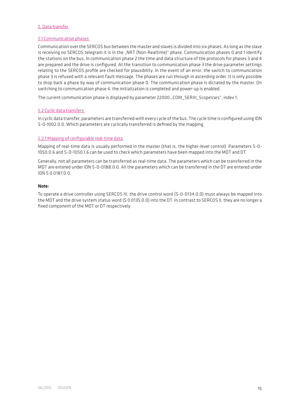## 5. Data transfer

## 5.1 Communication phases

Communication over the SERCOS bus between the master and slaves is divided into six phases. As long as the slave is receiving no SERCOS telegram it is in the "NRT (Non-Realtime)" phase. Communication phases 0 and 1 identify the stations on the bus. In communication phase 2 the time and data structure of the protocols for phases 3 and 4 are prepared and the drive is configured. At the transition to communication phase 3 the drive parameter settings relating to the SERCOS profile are checked for plausibility. In the event of an error, the switch to communication phase 3 is refused with a relevant fault message. The phases are run through in ascending order. It is only possible to drop back a phase by way of communication phase 0. The communication phase is dictated by the master. On switching to communication phase 4, the initialization is completed and power-up is enabled.

The current communication phase is displayed by parameter 22000 "COM\_SERIII\_ScopeVars", index 1.

## 5.2 Cyclic data transfers

In cyclic data transfer, parameters are transferred with every cycle of the bus. The cycle time is configured using IDN S-0-1002.0.0. Which parameters are cyclically transferred is defined by the mapping.

#### 5.2.1 Mapping of configurable real-time data

Mapping of real-time data is usually performed in the master (that is, the higher-level control). Parameters S-0- 1050.0.6 and S-0-1050.1.6 can be used to check which parameters have been mapped into the MDT and DT.

Generally, not all parameters can be transferred as real-time data. The parameters which can be transferred in the MDT are entered under IDN S-0-0188.0.0. All the parameters which can be transferred in the DT are entered under  $INS$   $0.0187$  $0.0$ 

#### Note:

To operate a drive controller using SERCOS III, the drive control word (S-0-0134.0.0) must always be mapped into the MDT and the drive system status word (S 0 0135.0.0) into the DT. In contrast to SERCOS II, they are no longer a fixed component of the MDT or DT respectively.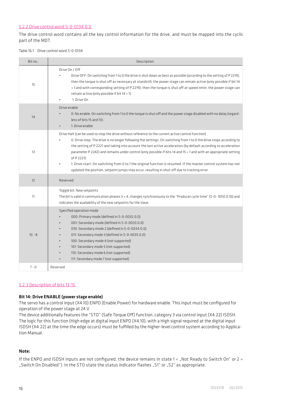## 5.2.2 Drive control word S-0-0134.0.0

The drive control word contains all the key control information for the drive, and must be mapped into the cyclic part of the MDT.

Table 16.1 Drive control word S-0-0134

| Bit no   | Description                                                                                                                                                                                                                                                                                                                                                                                                                                                                                                                                                                                                                                                                                          |
|----------|------------------------------------------------------------------------------------------------------------------------------------------------------------------------------------------------------------------------------------------------------------------------------------------------------------------------------------------------------------------------------------------------------------------------------------------------------------------------------------------------------------------------------------------------------------------------------------------------------------------------------------------------------------------------------------------------------|
| 15       | Drive On / Off<br>Drive OFF: On switching from 1 to 0 the drive is shut down as best as possible (according to the setting of P2219),<br>then the torque is shut off as necessary at standstill; the power stage can remain active (only possible if bit 14<br>= 1 and with corresponding setting of P 2219), then the torque is shut off at speed nmin; the power stage can<br>remain active (only possible if bit $14 = 1$ ).<br>1: Drive On                                                                                                                                                                                                                                                       |
| 14       | Drive enable<br>0: No enable. On switching from 1 to 0 the torque is shut off and the power stage disabled with no delay (regard-<br>less of bits 15 and 13).<br>1: Drive enable                                                                                                                                                                                                                                                                                                                                                                                                                                                                                                                     |
| 13       | Drive Halt (can be used to stop the drive without reference to the current active control function)<br>0: Drive stop: The drive is no longer following the settings. On switching from 1 to 0 the drive stops according to<br>the setting of P 2221 and taking into account the last active acceleration (by default according to acceleration<br>parameter P 2242) and remains under control (only possible if bits 14 and 15 = 1 and with an appropriate setting<br>of P 2221).<br>1: Drive start: On switching from 0 to 1 the original function is resumed. If the master control system has not<br>updated the position, setpoint jumps may occur, resulting in shut-off due to tracking error. |
| 12       | Reserved                                                                                                                                                                                                                                                                                                                                                                                                                                                                                                                                                                                                                                                                                             |
| 11       | Toggle bit: New setpoints<br>The bit is valid in communication phases 3 + 4, changes synchronously to the "Producer cycle time" (S-0-1050.0.10) and<br>indicates the availability of the new setpoints for the slave.                                                                                                                                                                                                                                                                                                                                                                                                                                                                                |
| $10 - 8$ | Specified operation mode<br>000: Primary mode (defined in S-0-0032.0.0)<br>001: Secondary mode (defined in S-0-0033.0.0)<br>010: Secondary mode 2 (defined in S-0-0034.0.0)<br>011: Secondary mode 3 (defined in S-0-0035.0.0)<br>100: Secondary mode 4 (not supported)<br>101: Secondary mode 5 (not supported)<br>110: Secondary mode 6 (not supported)<br>111: Secondary mode 7 (not supported)                                                                                                                                                                                                                                                                                                   |
| $7 - 0$  | Reserved                                                                                                                                                                                                                                                                                                                                                                                                                                                                                                                                                                                                                                                                                             |

## 5.2.3 Description of bits 13-15

#### Bit 14: Drive ENABLE (power stage enable)

The servo has a control input (X4.10) ENPO (Enable Power) for hardware enable. This input must be configured for operation of the power stage at 24 V.

The device additionally features the "STO" (Safe Torque Off) function, category 3 via control input (X4.22) ISDSH. The logic for this function (High edge at digital input ENPO (X4.10), with a High signal required at the digital input ISDSH (X4.22) at the time the edge occurs) must be fulfilled by the higher-level control system according to Application Manual.

## Note:

If the ENPO and ISDSH inputs are not configured, the device remains in state  $1 =$  Not Ready to Switch On" or  $2 =$ "Switch On Disabled"). In the STO state the status indicator flashes "S1" or "S2" as appropriate.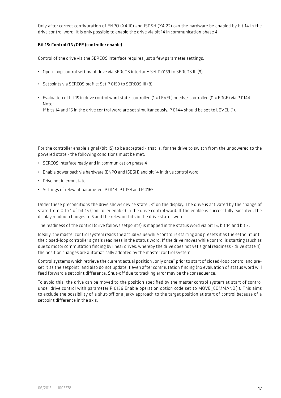Only after correct configuration of ENPO (X4.10) and ISDSH (X4.22) can the hardware be enabled by bit 14 in the drive control word. It is only possible to enable the drive via bit 14 in communication phase 4.

## Bit 15: Control ON/OFF (controller enable)

Control of the drive via the SERCOS interface requires just a few parameter settings:

- Open-loop control setting of drive via SERCOS interface: Set P 0159 to SERCOS III (9).
- Setpoints via SERCOS profile: Set P 0159 to SERCOS III (8).
- Evaluation of bit 15 in drive control word state-controlled (1 = LEVEL) or edge-controlled (0 = EDGE) via P 0144. Note: If bits 14 and 15 in the drive control word are set simultaneously, P 0144 should be set to LEVEL (1).

For the controller enable signal (bit 15) to be accepted - that is, for the drive to switch from the unpowered to the powered state - the following conditions must be met:

- SERCOS interface ready and in communication phase 4
- Enable power pack via hardware (ENPO and ISDSH) and bit 14 in drive control word
- Drive not in error state
- Settings of relevant parameters P 0144, P 0159 and P 0165

Under these preconditions the drive shows device state ..3" on the display. The drive is activated by the change of state from 0 to 1 of bit 15 (controller enable) in the drive control word. If the enable is successfully executed, the display readout changes to 5 and the relevant bits in the drive status word.

The readiness of the control (drive follows setpoints) is mapped in the status word via bit 15, bit 14 and bit 3.

Ideally, the master control system reads the actual value while control is starting and presets it as the setpoint until the closed-loop controller signals readiness in the status word. If the drive moves while control is starting (such as due to motor commutation finding by linear drives, whereby the drive does not yet signal readiness - drive state 4), the position changes are automatically adopted by the master control system.

Control systems which retrieve the current actual position "only once" prior to start of closed-loop control and preset it as the setpoint, and also do not update it even after commutation finding (no evaluation of status word will feed forward a setpoint difference. Shut-off due to tracking error may be the consequence.

To avoid this, the drive can be moved to the position specified by the master control system at start of control under drive control with parameter P 0156 Enable operation option code set to MOVE\_COMMAND(1). This aims to exclude the possibility of a shut-off or a jerky approach to the target position at start of control because of a setpoint difference in the axis.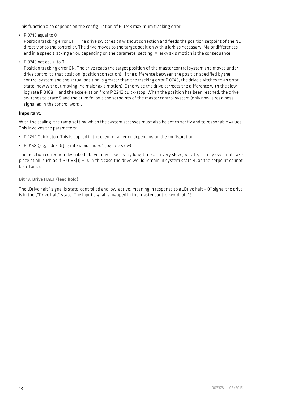This function also depends on the configuration of P 0743 maximum tracking error.

 $\cdot$  P 0743 equal to 0

Position tracking error OFF. The drive switches on without correction and feeds the position setpoint of the NC directly onto the controller. The drive moves to the target position with a jerk as necessary. Major differences end in a speed tracking error, depending on the parameter setting. A jerky axis motion is the consequence.

• P 0743 not equal to 0

Position tracking error ON. The drive reads the target position of the master control system and moves under drive control to that position (position correction). If the difference between the position specified by the control system and the actual position is greater than the tracking error P 0743, the drive switches to an error state, now without moving (no major axis motion). Otherwise the drive corrects the difference with the slow jog rate P 0168[1] and the acceleration from P 2242 quick-stop. When the position has been reached, the drive switches to state 5 and the drive follows the setpoints of the master control system (only now is readiness signalled in the control word).

## Important:

With the scaling, the ramp setting which the system accesses must also be set correctly and to reasonable values. This involves the parameters:

- P 2242 Quick-stop. This is applied in the event of an error, depending on the configuration
- P 0168 (Jog, index 0: Jog rate rapid, index 1: Jog rate slow)

The position correction described above may take a very long time at a very slow jog rate, or may even not take place at all, such as if P 0168[1] = 0. In this case the drive would remain in system state 4, as the setpoint cannot be attained.

## Bit 13: Drive HALT (feed hold)

The "Drive halt" signal is state-controlled and low-active, meaning in response to a "Drive halt =  $0$ " signal the drive is in the ""Drive halt" state. The input signal is mapped in the master control word, bit 13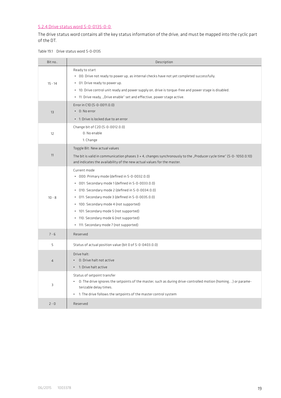# 5.2.4 Drive status word S-0-0135-0-0

The drive status word contains all the key status information of the drive, and must be mapped into the cyclic part of the DT.

Table 19.1 Drive status word S-0-0135

| Bit no         | Description                                                                                                                                                                                                                                                                                                                                                                                              |
|----------------|----------------------------------------------------------------------------------------------------------------------------------------------------------------------------------------------------------------------------------------------------------------------------------------------------------------------------------------------------------------------------------------------------------|
| $15 - 14$      | Ready to start<br>. 00: Drive not ready to power up, as internal checks have not yet completed successfully.<br>• 01: Drive ready to power up.<br>. 10: Drive control unit ready and power supply on, drive is torque-free and power stage is disabled.<br>• 11: Drive ready, "Drive enable" set and effective, power stage active.                                                                      |
| 13             | Error in C1D (S-0-0011.0.0)<br>$\cdot$ 0: No error<br>. 1: Drive is locked due to an error                                                                                                                                                                                                                                                                                                               |
| 12             | Change bit of C2D (S-0-0012.0.0)<br>0: No enable<br>1: Change                                                                                                                                                                                                                                                                                                                                            |
| 11             | Toggle Bit: New actual values<br>The bit is valid in communication phases $3 + 4$ , changes synchronously to the "Producer cycle time" (5-0-1050.0.10)<br>and indicates the availability of the new actual values for the master.                                                                                                                                                                        |
| $10 - 8$       | Current mode<br>• 000: Primary mode (defined in S-0-0032.0.0)<br>· 001: Secondary mode 1 (defined in S-0-0033.0.0)<br>· 010: Secondary mode 2 (defined in S-0-0034.0.0)<br>• 011: Secondary mode 3 (defined in S-0-0035.0.0)<br>• 100: Secondary mode 4 (not supported)<br>• 101: Secondary mode 5 (not supported)<br>• 110: Secondary mode 6 (not supported)<br>• 111: Secondary mode 7 (not supported) |
| $7 - 6$        | Reserved                                                                                                                                                                                                                                                                                                                                                                                                 |
| 5              | Status of actual position value (bit 0 of S-0-0403.0.0)                                                                                                                                                                                                                                                                                                                                                  |
| $\overline{4}$ | Drive halt:<br>. 0: Drive halt not active<br>. 1: Drive halt active                                                                                                                                                                                                                                                                                                                                      |
| 3              | Status of setpoint transfer<br>. O: The drive ignores the setpoints of the master, such as during drive-controlled motion (homing, ) or parame-<br>terizable delay times.<br>. 1: The drive follows the setpoints of the master control system                                                                                                                                                           |
| $2 - 0$        | Reserved                                                                                                                                                                                                                                                                                                                                                                                                 |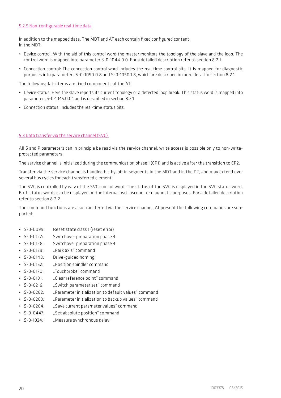## 5.2.5 Non-configurable real-time data

In addition to the mapped data, The MDT and AT each contain fixed configured content. In the MDT:

- Device control: With the aid of this control word the master monitors the topology of the slave and the loop. The control word is mapped into parameter S-0-1044.0.0. For a detailed description refer to section 8.2.1.
- Connection control: The connection control word includes the real-time control bits. It is mapped for diagnostic purposes into parameters S-0-1050.0.8 and S-0-1050.1.8, which are described in more detail in section 8.2.1.

The following data items are fixed components of the AT:

- Device status: Here the slave reports its current topology or a detected loop break. This status word is mapped into parameter "S-0-1045.0.0", and is described in section 8.2.1
- Connection status: Includes the real-time status bits.

## 5.3 Data transfer via the service channel (SVC)

All S and P parameters can in principle be read via the service channel; write access is possible only to non-writeprotected parameters.

The service channel is initialized during the communication phase 1 (CP1) and is active after the transition to CP2.

Transfer via the service channel is handled bit-by-bit in segments in the MDT and in the DT, and may extend over several bus cycles for each transferred element.

The SVC is controlled by way of the SVC control word. The status of the SVC is displayed in the SVC status word. Both status words can be displayed on the internal oscilloscope for diagnostic purposes. For a detailed description refer to section 8.2.2.

The command functions are also transferred via the service channel. At present the following commands are supported:

- S-0-0099: Reset state class 1 (reset error)
- S-0-0127: Switchover preparation phase 3
- S-0-0128: Switchover preparation phase 4
- S-0-0139: "Park axis" command
- S-0-0148: Drive-guided homing
- S-0-0152: "Position spindle" command
- S-0-0170: "Touchprobe" command
- S-0-0191: "Clear reference point" command
- S-0-0216: "Switch parameter set" command
- S-0-0262: "Parameter initialization to default values" command
- S-0-0263: "Parameter initialization to backup values" command
- S-0-0264: "Save current parameter values" command
- S-0-0447: "Set absolute position" command
- S-0-1024: "Measure synchronous delay"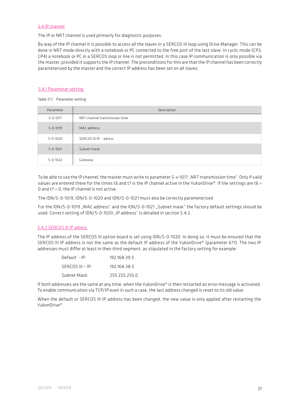#### 5.4 IP channel

The IP or NRT channel is used primarily for diagnostic purposes.

By way of the IP channel it is possible to access all the slaves in a SERCOS III loop using Drive Manager. This can be done in NRT mode directly with a notebook or PC connected to the free port of the last slave. In cyclic mode (CP3, CP4) a notebook or PC in a SERCOS loop or line is not permitted. In this case IP communication is only possible via the master, provided it supports the IP channel. The preconditions for this are that the IP channel has been correctly parameterized by the master and the correct IP address has been set on all slaves.

## 5.4.1 Parameter setting

Table 21.1 Parameter setting

| Parameter      | Description                   |
|----------------|-------------------------------|
| $S - 0 - 1017$ | NRT channel transmission time |
| $S - 0 - 1019$ | MAC address                   |
| $S - 0 - 1020$ | SERCOS III IP - adress        |
| $S - 0 - 1021$ | Subnet mask                   |
| $S - 0 - 1022$ | Gateway                       |

To be able to use the IP channel, the master must write to parameter S-x-1017 "NRT transmission time". Only if valid values are entered there for the times t6 and t7 is the IP channel active in the YukonDrive®. If the settings are t6 = 0 and t7 = 0, the IP channel is not active.

The IDN/S-0-1019, IDN/S-0-1020 and IDN/S-0-1021 must also be correctly parameterized

For the IDN/S-0-1019 "MAC address" and the IDN/S-0-1021 "Subnet mask" the factory default settings should be used. Correct setting of IDN/S-0-1020 "IP address" is detailed in section 5.4.2.

## 5.4.2 SERCOS III IP adress

The IP address of the SERCOS III option board is set using IDN/S-0-1020. In doing so, it must be ensured that the SERCOS III IP address is not the same as the default IP address of the YukonDrive® (parameter 671). The two IP addresses must differ at least in their third segment, as stipulated in the factory setting for example:

| $Default - IP:$    | 192.168.39.5  |
|--------------------|---------------|
| $SFRCOS III - IP:$ | 192.168.38.5  |
| Subnet Mask:       | 255.255.255.0 |

If both addresses are the same at any time, when the YukonDrive® is then restarted an error message is activated. To enable communication via TCP/IP even in such a case, the last address changed is reset to its old value.

When the default or SERCOS III IP address has been changed, the new value is only applied after restarting the YukonDrive®.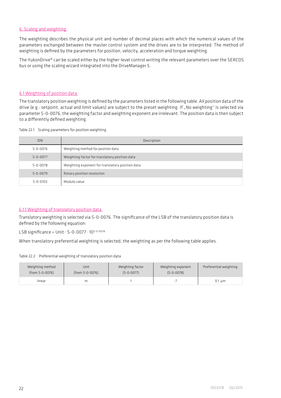# 6. Scaling and weighting

The weighting describes the physical unit and number of decimal places with which the numerical values of the parameters exchanged between the master control system and the drives are to be interpreted. The method of weighting is defined by the parameters for position, velocity, acceleration and torque weighting.

The YukonDrive® can be scaled either by the higher-level control writing the relevant parameters over the SERCOS bus or using the scaling wizard integrated into the DriveManager 5.

## 6.1 Weighting of position data

The translatory position weighting is defined by the parameters listed in the following table. All position data of the drive (e.g.: setpoint, actual and limit values) are subject to the preset weighting. If "No weighting" is selected via parameter S-0-0076, the weighting factor and weighting exponent are irrelevant. The position data is then subject to a differently defined weighting.

|  |  | Table 22.1 Scaling parameters for position weighting |  |  |  |
|--|--|------------------------------------------------------|--|--|--|
|--|--|------------------------------------------------------|--|--|--|

| <b>IDN</b>     | Description                                      |
|----------------|--------------------------------------------------|
| 5-0-0076       | Weighting method for position data               |
| $5 - 0 - 0077$ | Weighting factor for translatory position data   |
| $5 - 0 - 0078$ | Weighting exponent for translatory position data |
| $5 - 0 - 0079$ | Rotary position resolution                       |
| $5 - 0 - 0103$ | Modulo value                                     |

## 6.1.1 Weighting of translatory position data

Translatory weighting is selected via S-0-0076. The significance of the LSB of the translatory position data is defined by the following equation:

LSB significance = Unit  $\cdot$  S-0-0077  $\cdot$  10<sup>S-0-0078</sup>

When translatory preferential weighting is selected, the weighting as per the following table applies.

#### Table 22.2 Preferential weighting of translatory position data

| Weighting method | Unit            | Weighting factor | Weighting exponent | Preferential weighting |
|------------------|-----------------|------------------|--------------------|------------------------|
| (from S-0-0076)  | (from S-0-0076) | $(S - 0 - 0077)$ | $(S-0-0078)$       |                        |
| linear           | m               |                  |                    | $0.1 \mu m$            |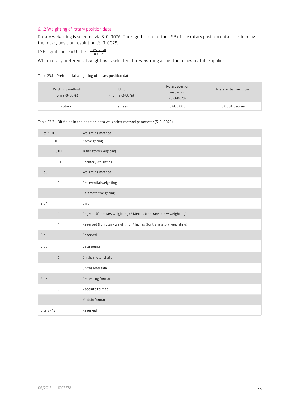## 6.1.2 Weighting of rotary position data

Rotary weighting is selected via S-0-0076. The significance of the LSB of the rotary position data is defined by the rotary position resolution (S-0-0079).

LSB significance =  $Unit \cdot \frac{1 \text{ revolution}}{5-0-0079}$ 

When rotary preferential weighting is selected, the weighting as per the following table applies.

#### Table 23.1 Preferential weighting of rotary position data

| Weighting method<br>(from S-0-0076) | Unit<br>(from S-0-0076) | Rotary position<br>resolution<br>$(S - 0 - 0079)$ | Preferential weighting |
|-------------------------------------|-------------------------|---------------------------------------------------|------------------------|
| Rotary                              | Degrees                 | 3600000                                           | 0,0001 degrees         |

#### Table 23.2 Bit fields in the position data weighting method parameter (S-0-0076)

| Bits $2 - 0$ | Weighting method                                                     |
|--------------|----------------------------------------------------------------------|
| 000          | No weighting                                                         |
| 001          | Translatory weighting                                                |
| 010          | Rotatory weighting                                                   |
| Bit 3        | Weighting method                                                     |
| 0            | Preferential weighting                                               |
| $\mathbf{1}$ | Parameter weighting                                                  |
| Bit 4        | Unit                                                                 |
| $\mathsf 0$  | Degrees (for rotary weighting) / Metres (for translatory weighting)  |
| $\mathbf{1}$ | Reserved (for rotary weighting) / Inches (for translatory weighting) |
| Bit 5        | Reserved                                                             |
| Bit 6        | Data source                                                          |
| O            | On the motor shaft                                                   |
| $\mathbf{1}$ | On the load side                                                     |
| Bit 7        | Processing format                                                    |
| 0            | Absolute format                                                      |
| $\mathbf{1}$ | Modulo format                                                        |
| Bits 8 - 15  | Reserved                                                             |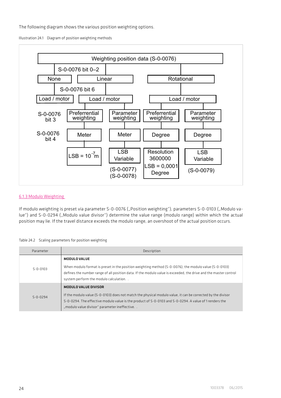The following diagram shows the various position weighting options.

Illustration 24.1 Diagram of position weighting methods



## 6.1.3 Modulo Weighting

If modulo weighting is preset via parameter S-0-0076 ("Position weighting"), parameters S-0-0103 ("Modulo value") and S-0-0294 ("Modulo value divisor") determine the value range (modulo range) within which the actual position may lie. If the travel distance exceeds the modulo range, an overshoot of the actual position occurs.

#### Table 24.2 Scaling parameters for position weighting

| Parameter      | Description                                                                                                                                                                                                                                                                                   |
|----------------|-----------------------------------------------------------------------------------------------------------------------------------------------------------------------------------------------------------------------------------------------------------------------------------------------|
| $5 - 0 - 0103$ | <b>MODULO VALUE</b><br>When modulo format is preset in the position weighting method (S-0-0076), the modulo value (S-0-0103)<br>defines the number range of all position data. If the modulo value is exceeded, the drive and the master control<br>system perform the modulo calculation     |
| $5 - 0 - 0294$ | MODULO VALUE DIVISOR<br>If the modulo value (S-0-0103) does not match the physical modulo value, it can be corrected by the divisor<br>S-0-0294. The effective modulo value is the product of S-0-0103 and S-0-0294. A value of 1 renders the<br>"modulo value divisor" parameter ineffective |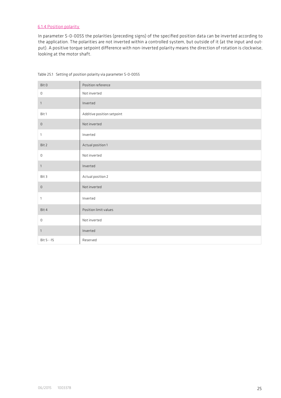# 6.1.4 Position polarity

In parameter S-0-0055 the polarities (preceding signs) of the specified position data can be inverted according to the application. The polarities are not inverted within a controlled system, but outside of it (at the input and output). A positive torque setpoint difference with non-inverted polarity means the direction of rotation is clockwise, looking at the motor shaft.

| Bit 0        | Position reference         |
|--------------|----------------------------|
| $\mathbb O$  | Not inverted               |
| $\mathbf{1}$ | Inverted                   |
| Bit 1        | Additive position setpoint |
| $\mathbb O$  | Not inverted               |
| $\mathbf{1}$ | Inverted                   |
| Bit 2        | Actual position 1          |
| $\mathbb O$  | Not inverted               |
| $\mathbf{1}$ | Inverted                   |
| Bit 3        | Actual position 2          |
| $\mathbb O$  | Not inverted               |
| 1            | Inverted                   |
| Bit 4        | Position limit values      |
| $\mathbb O$  | Not inverted               |
| $\mathbf{1}$ | Inverted                   |
| Bit 5--15    | Reserved                   |

#### Table 25.1 Setting of position polarity via parameter S-0-0055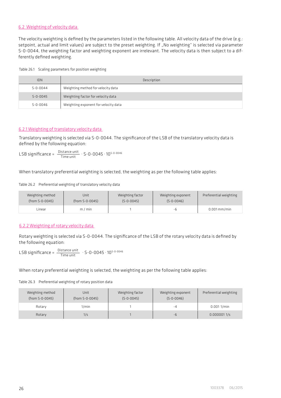## 6.2 Weighting of velocity data

The velocity weighting is defined by the parameters listed in the following table. All velocity data of the drive (e.g.: setpoint, actual and limit values) are subject to the preset weighting. If "No weighting" is selected via parameter S-0-0044, the weighting factor and weighting exponent are irrelevant. The velocity data is then subject to a differently defined weighting.

Table 26.1 Scaling parameters for position weighting

| <b>IDN</b>     | Description                          |
|----------------|--------------------------------------|
| $S - 0 - 0044$ | Weighting method for velocity data   |
| $S - 0 - 0045$ | Weighting factor for velocity data   |
| $S - 0 - 0046$ | Weighting exponent for velocity data |

## 6.2.1 Weighting of translatory velocity data

Translatory weighting is selected via S-0-0044. The significance of the LSB of the translatory velocity data is defined by the following equation:

 $\mathsf{LSB}\ \mathsf{significance} = \ \frac{\mathsf{Distance}\ \mathsf{unit}}{\mathsf{Time}\ \mathsf{unit}} \cdot \mathsf{S}\text{-}\mathsf{0}\text{-}\mathsf{0}\mathsf{0}\mathsf{4}\mathsf{5}\cdot\mathsf{1}\mathsf{0}^{\mathsf{S}\text{-}\mathsf{0}\text{-}\mathsf{0}\mathsf{0}\mathsf{4}\mathsf{6}}$ 

When translatory preferential weighting is selected, the weighting as per the following table applies:

## Table 26.2 Preferential weighting of translatory velocity data

| Weighting method | Unit            | Weighting factor | Weighting exponent | Preferential weighting |
|------------------|-----------------|------------------|--------------------|------------------------|
| (from S-0-0045)  | (from S-0-0045) | $(S - 0 - 0045)$ | $(S - 0 - 0046)$   |                        |
| Linear           | $m/m$ in        |                  | -h                 | $0.001$ mm/min         |

# 6.2.2 Weighting of rotary velocity data

Rotary weighting is selected via S-0-0044. The significance of the LSB of the rotary velocity data is defined by the following equation:

 $LSB$  significance =  $\frac{\text{Distance unit}}{\text{Time unit}} \cdot S - 0 - 0045 \cdot 10^{S \cdot 0 \cdot 0046}$ 

When rotary preferential weighting is selected, the weighting as per the following table applies:

Table 26.3 Preferential weighting of rotary position data

| Weighting method<br>(from S-0-0045) | Unit<br>(from S-0-0045) | Weighting factor<br>$(S - 0 - 0045)$ | Weighting exponent<br>$(S - 0 - 0046)$ | Preferential weighting |
|-------------------------------------|-------------------------|--------------------------------------|----------------------------------------|------------------------|
|                                     |                         |                                      |                                        |                        |
| Rotary                              | $1/m$ in                |                                      | -4                                     | 0.0011/min             |
| Rotary                              | 1/s                     |                                      | $-h$                                   | 0.0000011/s            |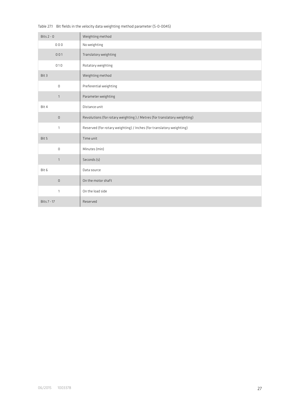Table 27.1 Bit fields in the velocity data weighting method parameter (S-0-0045)

| Bits $2 - 0$ | Weighting method                                                        |
|--------------|-------------------------------------------------------------------------|
| 000          | No weighting                                                            |
| 001          | Translatory weighting                                                   |
| 010          | Rotatory weighting                                                      |
| Bit 3        | Weighting method                                                        |
| 0            | Preferential weighting                                                  |
| $\mathbf{1}$ | Parameter weighting                                                     |
| Bit 4        | Distance unit                                                           |
| $\mathsf 0$  | Revolutions (for rotary weighting) / Metres (for translatory weighting) |
| 1            | Reserved (for rotary weighting) / Inches (for translatory weighting)    |
| Bit 5        | Time unit                                                               |
| 0            | Minutes (min)                                                           |
| $\mathbf{1}$ | Seconds (s)                                                             |
| Bit 6        | Data source                                                             |
| 0            | On the motor shaft                                                      |
| $\mathbf{1}$ | On the load side                                                        |
| Bits 7 - 17  | Reserved                                                                |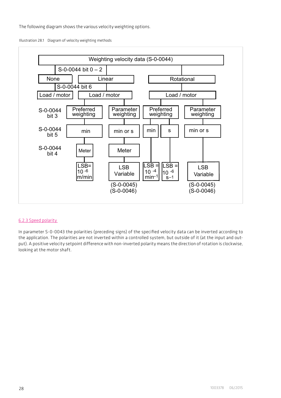The following diagram shows the various velocity weighting options.

Illustration 28.1 Diagram of velocity weighting methods



#### 6.2.3 Speed polarity

In parameter S-0-0043 the polarities (preceding signs) of the specified velocity data can be inverted according to the application. The polarities are not inverted within a controlled system, but outside of it (at the input and output). A positive velocity setpoint difference with non-inverted polarity means the direction of rotation is clockwise, looking at the motor shaft.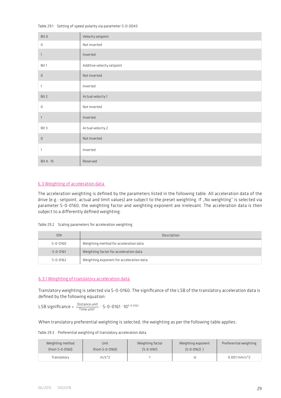#### Table 29.1 Setting of speed polarity via parameter S-0-0043

| Bit 0        | Velocity setpoint          |
|--------------|----------------------------|
| $\mathbb O$  | Not inverted               |
| $\mathbf{1}$ | Inverted                   |
| Bit 1        | Additive velocity setpoint |
| $\mathbb O$  | Not inverted               |
| 1            | Inverted                   |
| Bit 2        | Actual velocity 1          |
| $\mathbb O$  | Not inverted               |
| $\mathbf{1}$ | Inverted                   |
| Bit 3        | Actual velocity 2          |
| $\mathbb O$  | Not inverted               |
| 1            | Inverted                   |
| Bit 4 - 15   | Reserved                   |

# 6.3 Weighting of acceleration data

The acceleration weighting is defined by the parameters listed in the following table. All acceleration data of the drive (e.g.: setpoint, actual and limit values) are subject to the preset weighting. If "No weighting" is selected via parameter S-0-0160, the weighting factor and weighting exponent are irrelevant. The acceleration data is then subject to a differently defined weighting.

## Table 29.2 Scaling parameters for acceleration weighting

| <b>IDN</b>     | Description                              |
|----------------|------------------------------------------|
| $S - 0 - 0160$ | Weighting method for acceleration data   |
| $S - 0 - 0161$ | Weighting factor for acceleration data   |
| $S - 0 - 0162$ | Weighting exponent for acceleration data |

#### 6.3.1 Weighting of translatory acceleration data

Translatory weighting is selected via S-0-0160. The significance of the LSB of the translatory acceleration data is defined by the following equation:

LSB significance =  $\frac{\text{Distance unit}}{\text{Time unit}^2} \cdot \text{S-0-0161} \cdot 10^{5-0-0162}$ 

When translatory preferential weighting is selected, the weighting as per the following table applies:

Table 29.3 Preferential weighting of translatory acceleration data

| Weighting method<br>(from S-0-0160) | Unit<br>(from S-0-0160) | Weighting factor<br>$(S - 0 - 0161)$ | Weighting exponent<br>$(S - 0 - 0162)$ | Preferential weighting    |
|-------------------------------------|-------------------------|--------------------------------------|----------------------------------------|---------------------------|
| Translatorv                         | $m/s^2$                 |                                      |                                        | $0.001$ mm/s <sup>2</sup> |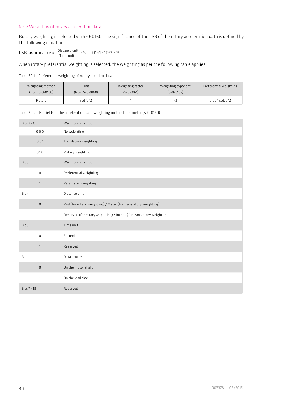## 6.3.2 Weighting of rotary acceleration data

Rotary weighting is selected via S-0-0160. The significance of the LSB of the rotary acceleration data is defined by the following equation:

LSB significance =  $\frac{\text{Distance unit}}{\text{Time unit}^2} \cdot \text{S-0-0161} \cdot 10^{\text{S-0-0162}}$ 

When rotary preferential weighting is selected, the weighting as per the following table applies:

Table 30.1 Preferential weighting of rotary position data

| Weighting method | Unit            | Weighting factor | Weighting exponent | Preferential weighting  |
|------------------|-----------------|------------------|--------------------|-------------------------|
| (from S-0-0160)  | (from S-0-0160) | $(S - 0 - 0161)$ | $(S - 0 - 0162)$   |                         |
| Rotary           | rad/s^2         |                  | - 4                | $0.001 \text{ rad/s}^2$ |

Table 30.2 Bit fields in the acceleration data weighting method parameter (S-0-0160)

| Bits $2 - 0$ | Weighting method                                                     |
|--------------|----------------------------------------------------------------------|
| 000          | No weighting                                                         |
| 001          | Translatory weighting                                                |
| 010          | Rotary weighting                                                     |
| Bit 3        | Weighting method                                                     |
| 0            | Preferential weighting                                               |
| $\mathbf{1}$ | Parameter weighting                                                  |
| Bit 4        | Distance unit                                                        |
| $\mathsf 0$  | Rad (for rotary weighting) / Meter (for translatory weighting)       |
| $\mathbf{1}$ | Reserved (for rotary weighting) / Inches (for translatory weighting) |
| Bit 5        | Time unit                                                            |
| 0            | Seconds                                                              |
| $\mathbf{1}$ | Reserved                                                             |
| Bit 6        | Data source                                                          |
| $\mathsf 0$  | On the motor shaft                                                   |
| $\mathbf{1}$ | On the load side                                                     |
| Bits 7 - 15  | Reserved                                                             |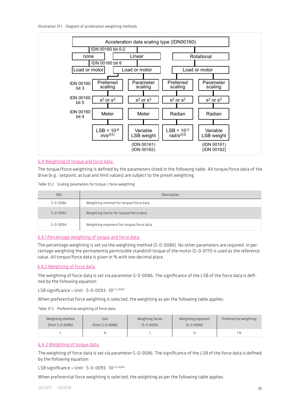

## 6.4 Weighting of torque and force data

The torque/force weighting is defined by the parameters listed in the following table. All torque/force data of the drive (e.g.: setpoint, actual and limit values) are subject to the preset weighting.

Table 31.2 Scaling parameters for torque / force weighting

| <b>IDN</b>     | Description                              |
|----------------|------------------------------------------|
| $S - 0 - 0086$ | Weighting method for torque/force data   |
| $5 - 0 - 0093$ | Weighting factor for torque/force data   |
| $5 - 0 - 0094$ | Weighting exponent for torque/force data |

#### 6.4.1 Percentage weighting of torque and force data

The percentage weighting is set via the weighting method (S-0-0086). No other parameters are required. In percentage weighting the permanently permissible standstill torque of the motor (S-0-0111) is used as the reference value. All torque/force data is given in % with one decimal place.

#### 6.4.2 Weighting of force data

The weighting of force data is set via parameter S-0-0086. The significance of the LSB of the force data is defined by the following equation:

LSB significance = Unit  $\cdot$  S-0-0093  $\cdot$  10<sup>S-0-0094</sup>

When preferential force weighting is selected, the weighting as per the following table applies:

#### Table 31.3 Preferential weighting of force data

| Weighting method | Unit            | Weighting factor | Weighting exponent | Preferential weighting |
|------------------|-----------------|------------------|--------------------|------------------------|
| (from S-0-0086)  | (from S-0-0086) | $(S - 0 - 0093)$ | $(S - 0 - 0094)$   |                        |
|                  |                 |                  |                    | 1 N                    |

# 6.4.3 Weighting of torque data

The weighting of force data is set via parameter S-0-0086. The significance of the LSB of the force data is defined by the following equation:

LSB significance = Unit  $\cdot$  S-0-0093  $\cdot$  10<sup>S-0-0094</sup>

When preferential force weighting is selected, the weighting as per the following table applies.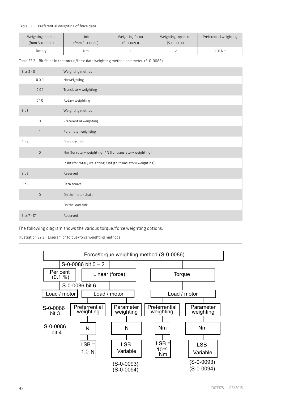#### Table 32.1 Preferential weighting of force data

| Weighting method | Unit            | Weighting factor | Weighting exponent       | Preferential weighting |
|------------------|-----------------|------------------|--------------------------|------------------------|
| (from S-0-0086)  | (from S-0-0086) | $(S - 0 - 0093)$ | $(S-0-0094)$             |                        |
| Rotary           | Nm              |                  | $\overline{\phantom{a}}$ | $0.01$ Nm              |

Table 32.2 Bit fields in the torque/force data weighting method parameter (S-0-0086)

| Bits $2 - 0$ | Weighting method                                                |
|--------------|-----------------------------------------------------------------|
| 000          | No weighting                                                    |
| 001          | Translatory weighting                                           |
| 010          | Rotary weighting                                                |
| Bit 3        | Weighting method                                                |
| $\mathbf 0$  | Preferential weighting                                          |
| $\mathbf{1}$ | Parameter weighting                                             |
| Bit 4        | Distance unit                                                   |
| $\mathsf D$  | Nm (for rotary weighting) / N (for translatory weighting)       |
| $\mathbf{1}$ | In Ibf (for rotary weighting / Ibf (for translatory weighting)) |
| Bit 5        | Reserved                                                        |
| Bit 6        | Data source                                                     |
| $\mathbb O$  | On the motor shaft                                              |
| $\mathbf{1}$ | On the load side                                                |
| Bits 7 - 17  | Reserved                                                        |

The following diagram shows the various torque/force weighting options:

Illustration 32.3 Diagram of torque/force weighting methods

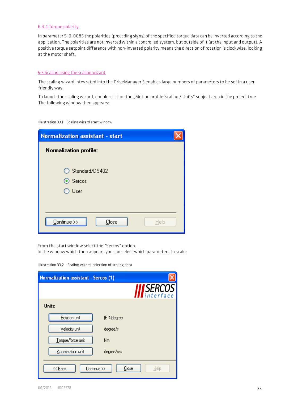## 6.4.4 Torque polarity

In parameter S-0-0085 the polarities (preceding signs) of the specified torque data can be inverted according to the application. The polarities are not inverted within a controlled system, but outside of it (at the input and output). A positive torque setpoint difference with non-inverted polarity means the direction of rotation is clockwise, looking at the motor shaft.

## 6.5 Scaling using the scaling wizard

The scaling wizard integrated into the DriveManager 5 enables large numbers of parameters to be set in a userfriendly way.

To launch the scaling wizard, double-click on the "Motion profile Scaling / Units" subject area in the project tree. The following window then appears:

Illustration 33.1 Scaling wizard start window

| <b>Normalization assistant - start</b> |      |
|----------------------------------------|------|
| <b>Normalization profile:</b>          |      |
| ◯ Standard/DS402<br>⊙ Sercos<br>◯ User |      |
| $Continue$ >><br>Close                 | Help |

From the start window select the "Sercos" option.

In the window which then appears you can select which parameters to scale:

| <b>Normalization assistant - Sercos (1)</b> |               |
|---------------------------------------------|---------------|
|                                             | SERCOS        |
| Units:                                      |               |
| Position unit<br>(E-4)degree                |               |
| Velocity unit<br>degree/s                   |               |
| Torque/force unit<br>Nm                     |               |
| Acceleration unit<br>degree/s/s             |               |
| Continue >><br><< Back                      | Close<br>Help |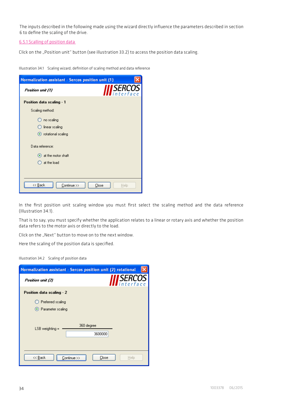The inputs described in the following made using the wizard directly influence the parameters described in section 6 to define the scaling of the drive.

6.5.1 Scalling of position data

Click on the "Position unit" button (see illustration 33.2) to access the position data scaling.

Illustration 34.1 Scaling wizard, definition of scaling method and data reference

| <b>Normalization assistant - Sercos position unit (1)</b> |               |
|-----------------------------------------------------------|---------------|
| Position unit (1)                                         | <i>SERCOS</i> |
| Position data scaling - 1                                 |               |
| Scaling method:                                           |               |
| no scaling                                                |               |
| linear scaling                                            |               |
| totational scaling                                        |               |
| Data reference:                                           |               |
| at the motor shaft                                        |               |
| at the load                                               |               |
|                                                           |               |
| $<<$ Back<br>Continue >><br>Close                         | Help          |

In the first position unit scaling window you must first select the scaling method and the data reference (Illustration 34.1).

That is to say, you must specify whether the application relates to a linear or rotary axis and whether the position data refers to the motor axis or directly to the load.

Click on the "Next" button to move on to the next window.

Here the scaling of the position data is specified.

| Illustration 34.2 Scaling of position data |  |  |
|--------------------------------------------|--|--|
|                                            |  |  |

|                                          | Normalization assistant - Sercos position unit (2) rotational |
|------------------------------------------|---------------------------------------------------------------|
| Position unit (2)                        | SERCOS<br>interface                                           |
| Position data scaling - 2                |                                                               |
| Preferred scaling<br>⊙ Parameter scaling |                                                               |
| LSB weighting =                          | 360 degree<br>3600000                                         |
| << Back                                  | Continue >><br>Close<br>Help                                  |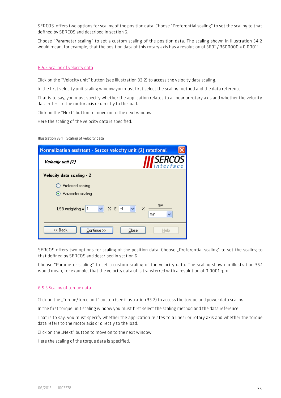SERCOS offers two options for scaling of the position data. Choose "Preferential scaling" to set the scaling to that defined by SERCOS and described in section 6.

Choose "Parameter scaling" to set a custom scaling of the position data. The scaling shown in illustration 34.2 would mean, for example, that the position data of this rotary axis has a resolution of 360° / 3600000 = 0.0001°

#### 6.5.2 Scaling of velocity data

Click on the "Velocity unit" button (see illustration 33.2) to access the velocity data scaling.

In the first velocity unit scaling window you must first select the scaling method and the data reference.

That is to say, you must specify whether the application relates to a linear or rotary axis and whether the velocity data refers to the motor axis or directly to the load.

Click on the "Next" button to move on to the next window.

Here the scaling of the velocity data is specified.

Illustration 35.1 Scaling of velocity data

| Normalization assistant - Sercos velocity unit (2) rotational                |
|------------------------------------------------------------------------------|
| <i><b>SERCOS</b></i><br>interface<br>Velocity unit (2)                       |
| Velocity data scaling - 2                                                    |
| Preferred scaling<br>⊙ Parameter scaling                                     |
| rev<br>$\times$ E<br>$\checkmark$<br>$-4$<br>×<br>LSB weighting $=$ 1<br>min |
| << Back<br>Continue >><br>Close<br>Help                                      |

SERCOS offers two options for scaling of the position data. Choose ..Preferential scaling" to set the scaling to that defined by SERCOS and described in section 6.

Choose "Parameter scaling" to set a custom scaling of the velocity data. The scaling shown in illustration 35.1 would mean, for example, that the velocity data of is transferred with a resolution of 0.0001 rpm.

#### 6.5.3 Scaling of torque data

Click on the "Torque/force unit" button (see illustration 33.2) to access the torque and power data scaling.

In the first torque unit scaling window you must first select the scaling method and the data reference.

That is to say, you must specify whether the application relates to a linear or rotary axis and whether the torque data refers to the motor axis or directly to the load.

Click on the "Next" button to move on to the next window.

Here the scaling of the torque data is specified.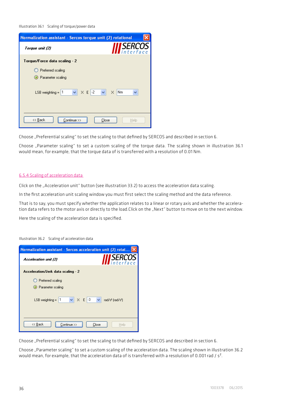Illustration 36.1 Scaling of torque/power data

| Normalization assistant - Sercos torque unit (2) rotational                           |                            |
|---------------------------------------------------------------------------------------|----------------------------|
| Torque unit (2)                                                                       | SERCOS<br>interface        |
| Torque/Force data scaling - 2                                                         |                            |
| Preferred scaling<br>Rarameter scaling<br>$\vee$ X E -2 $\vee$<br>LSB weighting $=$ 1 | $\times$<br>N <sub>m</sub> |
| << Back<br>Continue >><br>Close                                                       | Help                       |

Choose "Preferential scaling" to set the scaling to that defined by SERCOS and described in section 6.

Choose "Parameter scaling" to set a custom scaling of the torque data. The scaling shown in illustration 36.1 would mean, for example, that the torque data of is transferred with a resolution of 0.01 Nm.

#### 6.5.4 Scaling of acceleration data

Click on the "Acceleration unit" button (see illustration 33.2) to access the acceleration data scaling.

In the first acceleration unit scaling window you must first select the scaling method and the data reference.

That is to say, you must specify whether the application relates to a linear or rotary axis and whether the acceleration data refers to the motor axis or directly to the load.Click on the "Next" button to move on to the next window.

Here the scaling of the acceleration data is specified.

| Normalization assistant - Sercos acceleration unit (2) rotat > |                                          |
|----------------------------------------------------------------|------------------------------------------|
| Acceleration unit (2)                                          | <i>SERCOS</i>                            |
| Acceleration/Jerk data scaling - 2                             |                                          |
| Preferred scaling<br>• Parameter scaling                       |                                          |
| $\times$ X E 3 $\times$<br>$LSB$ weighting = $ 1$              | rad/s <sup>2</sup> [rad/s <sup>3</sup> ] |
| << Back<br>Continue >>                                         | Close<br>Help                            |

Illustration 36.2 Scaling of acceleration data

Choose "Preferential scaling" to set the scaling to that defined by SERCOS and described in section 6.

Choose "Parameter scaling" to set a custom scaling of the acceleration data. The scaling shown in illustration 36.2 would mean, for example, that the acceleration data of is transferred with a resolution of 0.001 rad /  $s^2$ .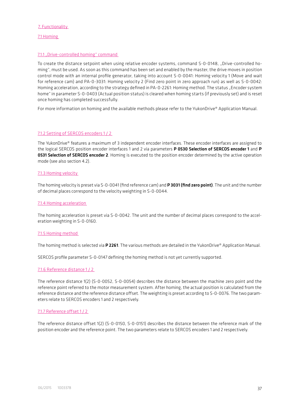#### 7. Functionality

7.1 Homing

#### 7.1.1 "Drive-controlled homing" command

To create the distance setpoint when using relative encoder systems, command S-0-0148, "Drive-controlled homing", must be used. As soon as this command has been set and enabled by the master, the drive moves in position control mode with an internal profile generator, taking into account S-0-0041: Homing velocity 1 (Move and wait for reference cam) and PA-0-3031: Homing velocity 2 (Find zero point in zero approach run) as well as S-0-0042: Homing acceleration, according to the strategy defined in PA-0-2261: Homing method. The status "Encoder system home" in parameter S-0-0403 (Actual position status) is cleared when homing starts (if previously set) and is reset once homing has completed successfully.

For more information on homing and the available methods please refer to the YukonDrive® Application Manual.

#### 7.1.2 Setting of SERCOS encoders 1 / 2

The YukonDrive® features a maximum of 3 independent encoder interfaces. These encoder interfaces are assigned to the logical SERCOS position encoder interfaces 1 and 2 via parameters P 0530 Selection of SERCOS encoder 1 and P **0531 Selection of SERCOS encoder 2**. Homing is executed to the position encoder determined by the active operation mode (see also section 4.2).

#### 7.1.3 Homing velocity

The homing velocity is preset via S-0-0041 (find reference cam) and P 3031 (find zero point). The unit and the number of decimal places correspond to the velocity weighting in S-0-0044.

#### 7.1.4 Homing acceleration

The homing acceleration is preset via S-0-0042. The unit and the number of decimal places correspond to the acceleration weighting in S-0-0160.

#### 7.1.5 Homing method

The homing method is selected via P 2261. The various methods are detailed in the YukonDrive® Application Manual.

SERCOS profile parameter S-0-0147 defining the homing method is not yet currently supported.

#### 7.1.6 Reference distance 1 / 2

The reference distance 1(2) (S-0-0052, S-0-0054) describes the distance between the machine zero point and the reference point referred to the motor measurement system. After homing, the actual position is calculated from the reference distance and the reference distance offset. The weighting is preset according to S-0-0076. The two parameters relate to SERCOS encoders 1 and 2 respectively.

#### 7.1.7 Reference offset 1 / 2

The reference distance offset 1(2) (S-0-0150, S-0-0151) describes the distance between the reference mark of the position encoder and the reference point. The two parameters relate to SERCOS encoders 1 and 2 respectively.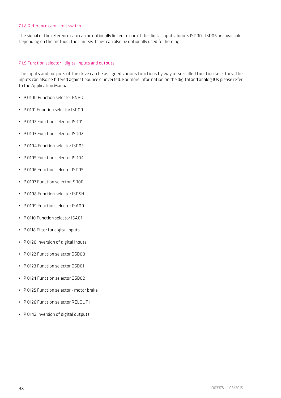## 7.1.8 Reference cam, limit switch

The signal of the reference cam can be optionally linked to one of the digital inputs. Inputs ISD00…ISD06 are available. Depending on the method, the limit switches can also be optionally used for homing.

## 7.1.9 Function selector - digital inputs and outputs

The inputs and outputs of the drive can be assigned various functions by way of so-called function selectors. The inputs can also be filtered against bounce or inverted. For more information on the digital and analog IOs please refer to the Application Manual.

- P 0100 Function selector ENPO
- P 0101 Function selector ISD00
- P 0102 Function selector ISD01
- P 0103 Function selector ISD02
- P 0104 Function selector ISD03
- P 0105 Function selector ISD04
- P 0106 Function selector ISD05
- P 0107 Function selector ISD06
- P 0108 Function selector ISDSH
- P 0109 Function selector ISA00
- P 0110 Function selector ISA01
- P 0118 Filter for digital inputs
- P 0120 Inversion of digital Inputs
- P 0122 Function selector OSD00
- P 0123 Function selector OSD01
- P 0124 Function selector OSD02
- P 0125 Function selector motor brake
- P 0126 Function selector RFL OUT1
- P 0142 Inversion of digital outputs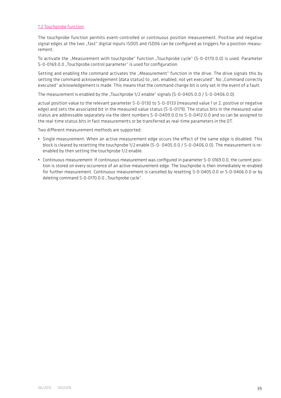#### 7.2 Touchprobe function

The touchprobe function permits event-controlled or continuous position measurement. Positive and negative signal edges at the two "fast" digital inputs ISD05 and ISD06 can be configured as triggers for a position measurement.

To activate the "Measurement with touchprobe" function "Touchprobe cycle" (S-0-0170.0.0) is used. Parameter S-0-0169.0.0 "Touchprobe control parameter" is used for configuration.

Setting and enabling the command activates the "Measurement" function in the drive. The drive signals this by setting the command acknowledgement (data status) to "set, enabled, not yet executed". No "Command correctly executed" acknowledgement is made. This means that the command change bit is only set in the event of a fault.

The measurement is enabled by the "Touchprobe 1/2 enable" signals (S-0-0405.0.0 / S-0-0406.0.0).

actual position value to the relevant parameter S-0-0130 to S-0-0133 (measured value 1 or 2, positive or negative edge) and sets the associated bit in the measured value status (S-0-0179). The status bits in the measured value status are addressable separately via the ident numbers S-0-0409.0.0 to S-0-0412.0.0 and so can be assigned to the real-time status bits in fast measurements or be transferred as real-time parameters in the DT.

Two different measurement methods are supported:

- Single measurement: When an active measurement edge occurs the effect of the same edge is disabled. This block is cleared by resetting the touchprobe 1/2 enable (S-0- 0405.0.0 / S-0-0406.0.0). The measurement is reenabled by then setting the touchprobe 1/2 enable.
- Continuous measurement: If continuous measurement was configured in parameter S-0-0169.0.0, the current position is stored on every occurrence of an active measurement edge. The touchprobe is then immediately re-enabled for further measurement. Continuous measurement is cancelled by resetting S-0-0405.0.0 or S-0-0406.0.0 or by deleting command S-0-0170.0.0 "Touchprobe cycle".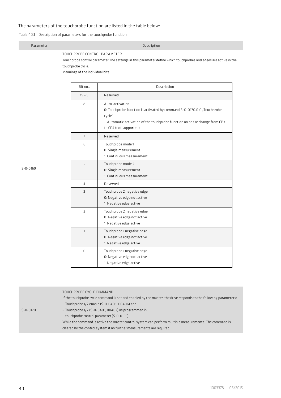## The parameters of the touchprobe function are listed in the table below:

# Table 40.1 Description of parameters for the touchprobe function

| Parameter      | Description                                                                           |                                                                                                                                                                                                                                                                                                                                                                                                                |  |
|----------------|---------------------------------------------------------------------------------------|----------------------------------------------------------------------------------------------------------------------------------------------------------------------------------------------------------------------------------------------------------------------------------------------------------------------------------------------------------------------------------------------------------------|--|
|                | TOUCHPROBE CONTROL PARAMETER<br>touchprobe cycle.<br>Meanings of the individual bits: | Touchprobe control parameter The settings in this parameter define which touchprobes and edges are active in the                                                                                                                                                                                                                                                                                               |  |
|                | Bit no.,                                                                              | Description                                                                                                                                                                                                                                                                                                                                                                                                    |  |
|                | $15 - 9$                                                                              | Reserved                                                                                                                                                                                                                                                                                                                                                                                                       |  |
|                | 8                                                                                     | Auto-activation<br>O: Touchprobe function is activated by command S-0-0170.0.0 "Touchprobe<br>cycle"<br>1: Automatic activation of the touchprobe function on phase change from CP3<br>to CP4 (not supported)                                                                                                                                                                                                  |  |
|                | $\overline{7}$                                                                        | Reserved                                                                                                                                                                                                                                                                                                                                                                                                       |  |
| $S - 0 - 0169$ | 6                                                                                     | Touchprobe mode 1<br>0: Single measurement<br>1: Continuous measurement                                                                                                                                                                                                                                                                                                                                        |  |
|                | 5                                                                                     | Touchprobe mode 2<br>0: Single measurement<br>1: Continuous measurement                                                                                                                                                                                                                                                                                                                                        |  |
|                | 4                                                                                     | Reserved                                                                                                                                                                                                                                                                                                                                                                                                       |  |
|                | 3                                                                                     | Touchprobe 2 negative edge<br>0: Negative edge not active<br>1: Negative edge active                                                                                                                                                                                                                                                                                                                           |  |
|                | $\overline{2}$                                                                        | Touchprobe 2 negative edge<br>0: Negative edge not active<br>1: Negative edge active                                                                                                                                                                                                                                                                                                                           |  |
|                | $\mathbf{1}$                                                                          | Touchprobe 1 negative edge<br>0: Negative edge not active<br>1: Negative edge active                                                                                                                                                                                                                                                                                                                           |  |
|                | $\Omega$                                                                              | Touchprobe 1 negative edge<br>0: Negative edge not active<br>1: Negative edge active                                                                                                                                                                                                                                                                                                                           |  |
|                |                                                                                       |                                                                                                                                                                                                                                                                                                                                                                                                                |  |
| $S - 0 - 0170$ | TOUCHPROBE CYCLE COMMAND<br>- touchprobe control parameter (S-0-0169)                 | If the touchprobe cycle command is set and enabled by the master, the drive responds to the following parameters:<br>- Touchprobe 1/2 enable (S-0-0405, 00406) and<br>- Touchprobe 1/2 (S-0-0401, 00402) as programmed in<br>While the command is active the master control system can perform multiple measurements. The command is<br>cleared by the control system if no further measurements are required. |  |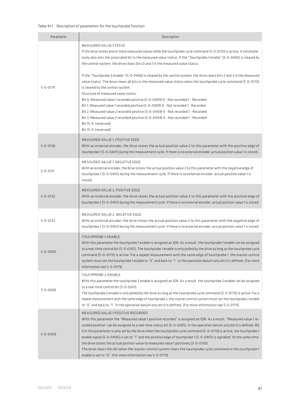## Table 41.1 Description of parameters for the touchprobe function

| Parameter      | Description                                                                                                                                                                                                                                                                                                                                                                                                                                                                                                                                                                                                                                                                                                                                                                                                          |
|----------------|----------------------------------------------------------------------------------------------------------------------------------------------------------------------------------------------------------------------------------------------------------------------------------------------------------------------------------------------------------------------------------------------------------------------------------------------------------------------------------------------------------------------------------------------------------------------------------------------------------------------------------------------------------------------------------------------------------------------------------------------------------------------------------------------------------------------|
|                | MEASURED VALUE STATUS<br>If the drive stores one or more measured values while the touchprobe cycle command (S-0-0170) is active, it simultane-<br>ously also sets the associated bit in the measured value status. If the "Touchprobe 1 enable" (S-0-0405) is cleared by<br>the control system, the drive clears bits 0 and 1 in the measured value status.<br>If the "Touchprobe 2 enable" (S-0-0406) is cleared by the control system, the drive clears bits 2 and 3 in the measured                                                                                                                                                                                                                                                                                                                              |
| $S - 0 - 0179$ | value status. The drive clears all bits in the measured value status when the touchprobe cycle command (S-0-0170)<br>is cleared by the control system.<br>Structure of measured value status:<br>Bit 0: Measured value 1 recorded positive (S-0-0409) 0 - Not recorded 1 - Recorded<br>Bit 1: Measured value 1 recorded positive (S-0-0409) 0 - Not recorded 1 - Recorded<br>Bit 2: Measured value 2 recorded positive (S-0-0409) 0 - Not recorded 1 - Recorded<br>Bit 3: Measured value 2 recorded positive (S-0-0409) 0 - Not recorded 1 - Recorded<br>Bit 15-4: (reserved)<br>Bit 15-4: (reserved)                                                                                                                                                                                                                |
| $S - 0 - 0130$ | MEASURED VALUE 1, POSITIVE EDGE<br>With an external encoder, the drive stores the actual position value 2 to this parameter with the positive edge of<br>touchprobe 1 (S-0-0401) during the measurement cycle. If there is no external encoder, actual position value 1 is stored                                                                                                                                                                                                                                                                                                                                                                                                                                                                                                                                    |
| $S - 0 - 0131$ | MEASURED VALUE 1, NEGATIVE EDGE<br>With an external encoder, the drive stores the actual position value 2 to this parameter with the negative edge of<br>touchprobe 1 (S-0-0401) during the measurement cycle. If there is no external encoder, actual position value 1 is<br>stored.                                                                                                                                                                                                                                                                                                                                                                                                                                                                                                                                |
| $S - 0 - 0132$ | MEASURED VALUE 2. POSITIVE EDGE<br>With an external encoder, the drive stores the actual position value 2 to this parameter with the positive edge of<br>touchprobe 2 (5-0-0401) during the measurement cycle. If there is no external encoder, actual position value 1 is stored.                                                                                                                                                                                                                                                                                                                                                                                                                                                                                                                                   |
| $S - 0 - 0133$ | MEASURED VALUE 2, NEGATIVE EDGE<br>With an external encoder, the drive stores the actual position value 2 to this parameter with the negative edge of<br>touchprobe 2 (S-0-0401) during the measurement cycle. If there is no external encoder, actual position value 1 is stored.                                                                                                                                                                                                                                                                                                                                                                                                                                                                                                                                   |
| $S - 0 - 0405$ | TOUCHPROBE 1-ENABLE<br>With this parameter the touchprobe 1 enable is assigned an IDN. As a result, the touchprobe 1 enable can be assigned<br>to a real-time control bit (S-0-0301). The touchprobe 1 enable is only polled by the drive as long as the touchprobe cycle<br>command (5-0-0170) is active. For a repeat measurement with the same edge of touchprobe 1, the master control<br>system must set the touchprobe 1 enable to "0" and back to "1". In the operation datum only bit 0 is defined. (For more<br>information see S-0-0179)                                                                                                                                                                                                                                                                   |
| $S - 0 - 0406$ | TOUCHPROBE 2-ENABLE<br>With this parameter the touchprobe 2 enable is assigned an IDN. As a result, the touchprobe 2 enable can be assigned<br>to a real-time control bit (S-0-0301).<br>The touchprobe 2 enable is only polled by the drive as long as the touchprobe cycle command (S-0-0170) is active. For a<br>repeat measurement with the same edge of touchprobe 2, the master control system must set the touchprobe 2 enable<br>to "0" and back to "1". In the operation datum only bit 0 is defined. (For more information see S-0-0179).                                                                                                                                                                                                                                                                  |
| $S - 0 - 0409$ | MEASURED VALUE 1 POSITIVE RECORDED<br>With this parameter the "Measured value 1 positive recorded" is assigned an IDN. As a result, "Measured value 1 re-<br>corded positive" can be assigned to a real-time status bit (S-0-0305). In the operation datum only bit 0 is defined. Bit<br>O in this parameter is only set by the drive when the touchprobe cycle command (S-0-0170) is active, the touchprobe 1<br>enable signal (S-0-0405) is set to "1" and the positive edge of touchprobe 1 (S-0-0401) is signalled. At the same time,<br>the drive stores the actual position value to measured value 1 positively (S-0-0130).<br>The drive clears this bit when the master control system clears the touchprobe cycle command or the touchprobe 1<br>enable is set to "0". (For more information see S-0-0179). |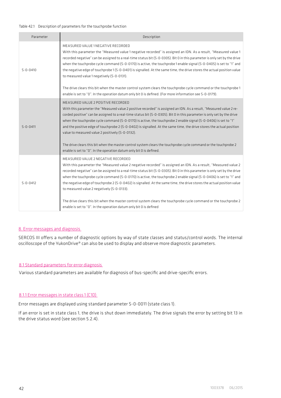#### Table 42.1 Description of parameters for the touchprobe function

| Parameter      | Description                                                                                                                                                                                                                                                                                                                                                                                                                                                                                                                                                                                                                                                                                                                                                                                                         |
|----------------|---------------------------------------------------------------------------------------------------------------------------------------------------------------------------------------------------------------------------------------------------------------------------------------------------------------------------------------------------------------------------------------------------------------------------------------------------------------------------------------------------------------------------------------------------------------------------------------------------------------------------------------------------------------------------------------------------------------------------------------------------------------------------------------------------------------------|
| $5 - 0 - 0410$ | MEASURED VALUE 1 NEGATIVE RECORDED.<br>With this parameter the "Measured value 1 negative recorded" is assigned an IDN. As a result, "Measured value 1<br>recorded negative" can be assigned to a real-time status bit (S-0-0305). Bit 0 in this parameter is only set by the drive<br>when the touchprobe cycle command (S-0-0170) is active, the touchprobe 1 enable signal (S-0-0405) is set to "1" and<br>the negative edge of touchprobe 1 (S-0-0401) is signalled. At the same time, the drive stores the actual position value<br>to measured value 1 negatively (S-0-0131).<br>The drive clears this bit when the master control system clears the touchprobe cycle command or the touchprobe 1<br>enable is set to "0". In the operation datum only bit 0 is defined. (For more information see S-0-0179). |
| $5 - 0 - 0411$ | MEASURED VALUE 2 POSITIVE RECORDED<br>With this parameter the "Measured value 2 positive recorded" is assigned an IDN. As a result, "Measured value 2 re-<br>corded positive" can be assigned to a real-time status bit (S-0-0305). Bit 0 in this parameter is only set by the drive<br>when the touchprobe cycle command (S-0-0170) is active, the touchprobe 2 enable signal (S-0-0406) is set to "1"<br>and the positive edge of touchprobe 2 (S-0-0402) is signalled. At the same time, the drive stores the actual position<br>value to measured value 2 positively (S-0-0132).<br>The drive clears this bit when the master control system clears the touchprobe cycle command or the touchprobe 2<br>enable is set to "0". In the operation datum only bit 0 is defined.                                     |
| $5 - 0 - 0412$ | MEASURED VALUE 2 NEGATIVE RECORDED<br>With this parameter the "Measured value 2 negative recorded" is assigned an IDN. As a result, "Measured value 2<br>recorded negative" can be assigned to a real-time status bit (S-0-0305). Bit 0 in this parameter is only set by the drive<br>when the touchprobe cycle command (S-0-0170) is active, the touchprobe 2 enable signal (S-0-0406) is set to "1" and<br>the negative edge of touchprobe 2 (S-0-0402) is signalled. At the same time, the drive stores the actual position value<br>to measured value 2 negatively (S-0-0133).<br>The drive clears this bit when the master control system clears the touchprobe cycle command or the touchprobe 2<br>enable is set to "0". In the operation datum only bit 0 is defined                                        |

#### 8. Error messages and diagnosis

SERCOS III offers a number of diagnostic options by way of state classes and status/control words. The internal oscilloscope of the YukonDrive® can also be used to display and observe more diagnostic parameters.

## 8.1 Standard parameters for error diagnosis

Various standard parameters are available for diagnosis of bus-specific and drive-specific errors.

## 8.1.1 Error messages in state class 1 (C1D)

Error messages are displayed using standard parameter S-0-0011 (state class 1).

If an error is set in state class 1, the drive is shut down immediately. The drive signals the error by setting bit 13 in the drive status word (see section 5.2.4).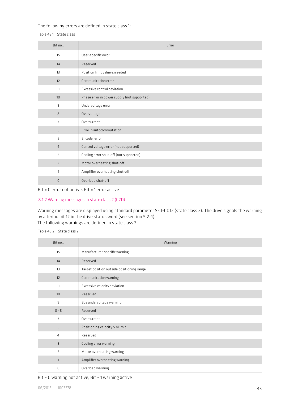## The following errors are defined in state class 1:

Table 43.1 State class

| Bit no         | Error                                       |
|----------------|---------------------------------------------|
| 15             | User-specific error                         |
| 14             | Reserved                                    |
| 13             | Position limit value exceeded               |
| 12             | Communication error                         |
| 11             | Excessive control deviation                 |
| 10             | Phase error in power supply (not supported) |
| 9              | Undervoltage error                          |
| 8              | Overvoltage                                 |
| $\overline{7}$ | Overcurrent                                 |
| 6              | Error in autocommutation                    |
| 5              | Encoder error                               |
| $\overline{4}$ | Control voltage error (not supported)       |
| 3              | Cooling error shut-off (not supported)      |
| $\overline{2}$ | Motor overheating shut-off                  |
| 1              | Amplifier overheating shut-off              |
| $\Omega$       | Overload shut-off                           |

Bit = 0 error not active, Bit = 1 error active

## 8.1.2 Warning messages in state class 2 (C2D)

Warning messages are displayed using standard parameter S-0-0012 (state class 2). The drive signals the warning by altering bit 12 in the drive status word (see section 5.2.4). The following warnings are defined in state class 2:

Table 43.2 State class 2

| Bit no         | Warning                                   |
|----------------|-------------------------------------------|
| 15             | Manufacturer-specific warning             |
| 14             | Reserved                                  |
| 13             | Target position outside positioning range |
| 12             | Communication warning                     |
| 11             | Excessive velocity deviation              |
| 10             | Reserved                                  |
| 9              | Bus undervoltage warning                  |
| $8 - 6$        | Reserved                                  |
| 7              | Overcurrent                               |
| 5              | Positioning velocity > nLimit             |
| $\overline{4}$ | Reserved                                  |
| $\overline{3}$ | Cooling error warning                     |
| $\overline{2}$ | Motor overheating warning                 |
| $\mathbf{1}$   | Amplifier overheating warning             |
| 0              | Overload warning                          |

## Bit = 0 warning not active, Bit = 1 warning active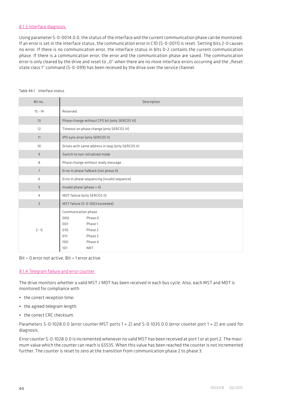## 8.1.3 Interface diagnosis

Using parameter S-0-0014.0.0, the status of the interface and the current communication phase can be monitored. If an error is set in the interface status, the communication error in C1D (S-0-0011) is reset. Setting bits 2-0 causes no error. If there is no communication error, the interface status in bits 0-2 contains the current communication phase. If there is a communication error, the error and the communication phase are saved. The communication error is only cleared by the drive and reset to "0" when there are no more interface errors occurring and the "Reset state class 1" command (S-0-099) has been received by the drive over the service channel.

| Bit no         | Description                                                                                                                              |
|----------------|------------------------------------------------------------------------------------------------------------------------------------------|
| $15 - 14$      | Reserved                                                                                                                                 |
| 13             | Phase change without CPS bit (only SERCOS III)                                                                                           |
| 12             | Timeout on phase change (only SERCOS III)                                                                                                |
| 11             | IPO sync error (only SERCOS II)                                                                                                          |
| 10             | Drives with same address in loop (only SERCOS II)                                                                                        |
| 9              | Switch to non-initialized mode                                                                                                           |
| 8              | Phase change without ready message                                                                                                       |
| $\overline{7}$ | Error in phase fallback (not phase 0)                                                                                                    |
| 6              | Error in phase sequencing (invalid sequence)                                                                                             |
| 5              | Invalid phase (phase $> 4$ )                                                                                                             |
| $\overline{4}$ | MDT failure (only SERCOS II)                                                                                                             |
| 3              | MST failure (S-0-1003 exceeded)                                                                                                          |
| $2 - 0$        | Communication phase<br>Phase 0<br>000:<br>Phase 1<br>001:<br>Phase 2<br>010:<br>Phase 3<br>011:<br>Phase 4<br>100:<br>101:<br><b>NRT</b> |

## Table 44.1 Interface status

## Bit = 0 error not active, Bit = 1 error active

#### 8.1.4 Telegram failure and error counter

The drive monitors whether a valid MST / MDT has been received in each bus cycle. Also, each MST and MDT is monitored for compliance with

- the correct reception time;
- the agreed telegram length;
- the correct CRC checksum.

Parameters S-0-1028.0.0 (error counter MST ports 1 + 2) and S-0-1035.0.0 (error counter port 1 + 2) are used for diagnosis.

Error counter S-0-1028.0.0 is incremented whenever no valid MST has been received at port 1 or at port 2. The maximum value which the counter can reach is 65535. When this value has been reached the counter is not incremented further. The counter is reset to zero at the transition from communication phase 2 to phase 3.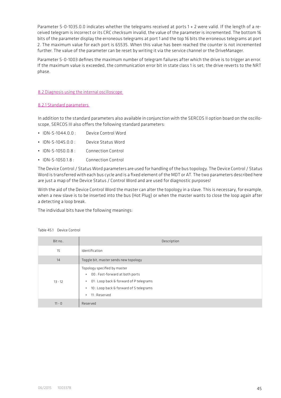Parameter S-0-1035.0.0 indicates whether the telegrams received at ports 1 + 2 were valid. If the length of a received telegram is incorrect or its CRC checksum invalid, the value of the parameter is incremented. The bottom 16 bits of the parameter display the erroneous telegrams at port 1 and the top 16 bits the erroneous telegrams at port 2. The maximum value for each port is 65535. When this value has been reached the counter is not incremented further. The value of the parameter can be reset by writing it via the service channel or the DriveManager.

Parameter S-0-1003 defines the maximum number of telegram failures after which the drive is to trigger an error. If the maximum value is exceeded, the communication error bit in state class 1 is set; the drive reverts to the NRT phase.

#### 8.2 Diagnosis using the internal oscilloscope

## 8.2.1 Standard parameters

In addition to the standard parameters also available in conjunction with the SERCOS II option board on the oscilloscope, SERCOS III also offers the following standard parameters:

- IDN-S-1044.0.0 : Device Control Word
- IDN-S-1045.0.0 : Device Status Word
- IDN-S-1050.0.8 : Connection Control
- IDN-S-105018 : Connection Control

The Device Control / Status Word parameters are used for handling of the bus topology. The Device Control / Status Word is transferred with each bus cycle and is a fixed element of the MDT or AT. The two parameters described here are just a map of the Device Status / Control Word and are used for diagnostic purposes!

With the aid of the Device Control Word the master can alter the topology in a slave. This is necessary, for example, when a new slave is to be inserted into the bus (Hot Plug) or when the master wants to close the loop again after a detecting a loop break.

The individual bits have the following meanings:

| Bit no    | Description                                                                                                                                                                               |
|-----------|-------------------------------------------------------------------------------------------------------------------------------------------------------------------------------------------|
| 15        | Identification                                                                                                                                                                            |
| 14        | Toggle bit, master sends new topology                                                                                                                                                     |
| $13 - 12$ | Topology specified by master<br>00 : Fast-forward at both ports<br>٠<br>01: Loop back & forward of P telegrams<br>٠<br>10 : Loop back & forward of S telegrams<br>٠<br>11 : Reserved<br>٠ |
| $11 - 0$  | Reserved                                                                                                                                                                                  |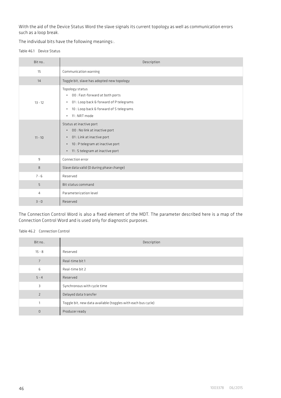With the aid of the Device Status Word the slave signals its current topology as well as communication errors such as a loop break.

The individual bits have the following meanings:.

Table 46.1 Device Status

| Bit no    | Description                                                                                                                                                              |
|-----------|--------------------------------------------------------------------------------------------------------------------------------------------------------------------------|
| 15        | Communication warning                                                                                                                                                    |
| 14        | Toggle bit, slave has adopted new topology                                                                                                                               |
| $13 - 12$ | Topology status<br>• 00: Fast-forward at both ports<br>01: Loop back & forward of P telegrams<br>٠<br>10 : Loop back & forward of S telegrams<br>٠<br>11 : NRT mode<br>٠ |
| $11 - 10$ | Status at inactive port<br>• 00 : No link at inactive port<br>01: Link at inactive port<br>٠<br>• 10 : P telegram at inactive port<br>• 11 : S telegram at inactive port |
| 9         | Connection error                                                                                                                                                         |
| 8         | Slave data valid (0 during phase change)                                                                                                                                 |
| $7 - 6$   | Reserved                                                                                                                                                                 |
| 5         | <b>Bit status command</b>                                                                                                                                                |
| 4         | Parameterization level                                                                                                                                                   |
| $3 - 0$   | Reserved                                                                                                                                                                 |

The Connection Control Word is also a fixed element of the MDT. The parameter described here is a map of the Connection Control Word and is used only for diagnostic purposes.

Table 46.2 Connection Control

| Bit no         | Description                                                  |
|----------------|--------------------------------------------------------------|
| $15 - 8$       | Reserved                                                     |
| $\overline{7}$ | Real-time bit 1                                              |
| 6              | Real-time bit 2                                              |
| $5 - 4$        | Reserved                                                     |
| 3              | Synchronous with cycle time                                  |
| $\overline{2}$ | Delayed data transfer                                        |
| 1              | Toggle bit, new data available (toggles with each bus cycle) |
| $\mathbf 0$    | Producer ready                                               |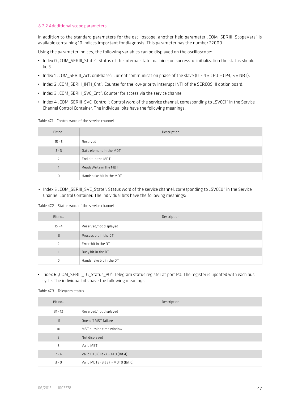## 8.2.2 Addditional scope parameters

In addition to the standard parameters for the oscilloscope, another field parameter "COM\_SERIII\_ScopeVars" is available containing 10 indices important for diagnosis. This parameter has the number 22000.

Using the parameter indices, the following variables can be displayed on the oscilloscope:

- Index 0 "COM\_SERIII\_State": Status of the internal state machine; on successful initialization the status should be 3.
- Index 1 "COM\_SERIII\_ActComPhase": Current communication phase of the slave (0 4 = CP0 CP4, 5 = NRT).
- Index 2 ..COM\_SERIII\_INT1\_Cnt": Counter for the low-priority interrupt INT1 of the SERCOS III option board.
- Index 3 ... COM\_SERIII\_SVC\_Cnt": Counter for access via the service channel
- Index 4 "COM\_SERIII\_SVC\_Control": Control word of the service channel, corresponding to "SVCC1" in the Service Channel Control Container. The individual bits have the following meanings:

## Table 47.1 Control word of the service channel

| Bit no         | Description              |
|----------------|--------------------------|
| $15 - 6$       | Reserved                 |
| $5 - 3$        | Data element in the MDT  |
| $\overline{z}$ | End bit in the MDT       |
| $\mathbf{A}$   | Read/Write in the MDT    |
| 0              | Handshake bit in the MDT |

• Index 5 ... COM\_SERIII\_SVC\_State": Status word of the service channel, corresponding to ... SVCC0" in the Service Channel Control Container. The individual bits have the following meanings:

#### Table 47.2 Status word of the service channel

| Bit no                   | Description             |
|--------------------------|-------------------------|
| $15 - 4$                 | Reserved/not displayed  |
| $\overline{3}$           | Process bit in the DT   |
| $\overline{\phantom{a}}$ | Error-bit in the DT     |
|                          | Busy bit in the DT      |
| 0                        | Handshake bit in the DT |

• Index 6 "COM\_SERIII\_TG\_Status\_P0": Telegram status register at port P0. The register is updated with each bus cycle. The individual bits have the following meanings:

Table 47.3 Telegram status

| Bit no         | Description                       |
|----------------|-----------------------------------|
| $31 - 12$      | Reserved/not displayed            |
| 11             | One-off MST failure               |
| 10             | MST outside time window           |
| $\overline{9}$ | Not displayed                     |
| 8              | Valid MST                         |
| $7 - 4$        | Valid DT3 (Bit 7) - AT0 (Bit 4)   |
| $3 - 0$        | Valid MDT3 (Bit 3) - MDT0 (Bit 0) |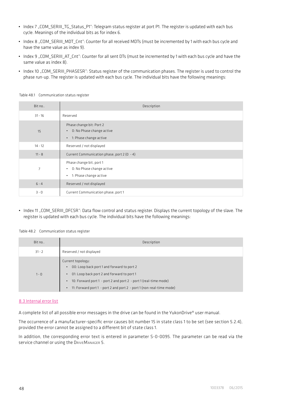- Index 7 "COM\_SERIII\_TG\_Status\_P1": Telegram status register at port P1. The register is updated with each bus cycle. Meanings of the individual bits as for index 6.
- Index 8 "COM\_SERIII\_MDT\_Cnt": Counter for all received MDTs (must be incremented by 1 with each bus cycle and have the same value as index 9).
- Index 9 "COM\_SERIII\_AT\_Cnt": Counter for all sent DTs (must be incremented by 1 with each bus cycle and have the same value as index 8).
- Index 10 "COM\_SERIII\_PHASESR": Status register of the communication phases. The register is used to control the phase run-up. The register is updated with each bus cycle. The individual bits have the following meanings:

| Bit no         | Description                                                                                               |
|----------------|-----------------------------------------------------------------------------------------------------------|
| $31 - 16$      | Reserved                                                                                                  |
| 15             | Phase change bit: Port 2<br>0: No Phase change active<br>$\bullet$<br>1: Phase change active<br>$\bullet$ |
| $14 - 12$      | Reserved / not displayed                                                                                  |
| $11 - 8$       | Current Communication phase, port 2 (0 - 4)                                                               |
| $\overline{7}$ | Phase change bit, port 1<br>0: No Phase change active<br>٠<br>1: Phase change active<br>٠                 |
| $6 - 4$        | Reserved / not displayed                                                                                  |
| $3 - 0$        | Current Communication phase, port 1                                                                       |

Table 48.1 Communication status register

• Index 11 "COM\_SERIII\_DFCSR": Data flow control and status register. Displays the current topology of the slave. The register is updated with each bus cycle. The individual bits have the following meanings:

Table 48.2 Communication status register

| Bit no   | Description                                                                                                                                                                                                                                                                                      |
|----------|--------------------------------------------------------------------------------------------------------------------------------------------------------------------------------------------------------------------------------------------------------------------------------------------------|
| $31 - 2$ | Reserved / not displayed                                                                                                                                                                                                                                                                         |
| $1 - 0$  | Current topology:<br>00: Loop back port 1 and forward to port 2<br>$\bullet$<br>01: Loop back port 2 and forward to port 1<br>10: Forward port 1 - port 2 and port 2 - port 1 (real-time mode)<br>$\bullet$<br>11: Forward port 1 - port 2 and port 2 - port 1 (non-real-time mode)<br>$\bullet$ |

#### 8.3 Internal error list

A complete list of all possible error messages in the drive can be found in the YukonDrive® user manual.

The occurrence of a manufacturer-specific error causes bit number 15 in state class 1 to be set (see section 5.2.4), provided the error cannot be assigned to a different bit of state class 1.

In addition, the corresponding error text is entered in parameter S-0-0095. The parameter can be read via the service channel or using the DRIVEMANAGER 5.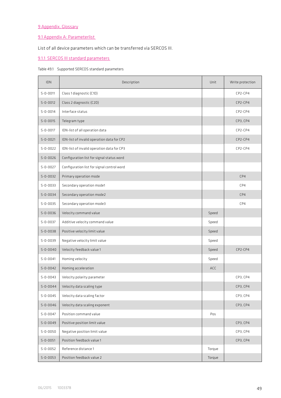# 9 Appendix, Glossary

# 9.1 Appendix A: Parameterlist

# List of all device parameters which can be transferred via SERCOS III.

# 9.1.1 SERCOS III standard parameters

## Table 49.1 Supported SERCOS standard parameters

| <b>IDN</b>     | Description                                | Unit   | Write protection |
|----------------|--------------------------------------------|--------|------------------|
| $S - 0 - 0011$ | Class 1 diagnostic (C1D)                   |        | CP2-CP4          |
| $S - 0 - 0012$ | Class 2 diagnostic (C2D)                   |        | CP2-CP4          |
| $S - 0 - 0014$ | Interface status                           |        | CP2-CP4          |
| $S - 0 - 0015$ | Telegram type                              |        | CP3, CP4         |
| $S - 0 - 0017$ | IDN-list of all operation data             |        | CP2-CP4          |
| $S - 0 - 0021$ | IDN-list of invalid operation data for CP2 |        | CP2-CP4          |
| $S - 0 - 0022$ | IDN-list of invalid operation data for CP3 |        | CP2-CP4          |
| $S - 0 - 0026$ | Configuration list for signal status word  |        |                  |
| $S - 0 - 0027$ | Configuration list for signal control word |        |                  |
| $S - 0 - 0032$ | Primary operation mode                     |        | CP4              |
| $S - 0 - 0033$ | Secondary operation mode1                  |        | CP4              |
| $S - 0 - 0034$ | Secondary operation mode2                  |        | CP4              |
| $S - 0 - 0035$ | Secondary operation mode3                  |        | CP4              |
| $S - 0 - 0036$ | Velocity command value                     | Speed  |                  |
| $S - 0 - 0037$ | Additive velocity command value            | Speed  |                  |
| $S - 0 - 0038$ | Positive velocity limit value              | Speed  |                  |
| $S - 0 - 0039$ | Negative velocity limit value              | Speed  |                  |
| $S - 0 - 0040$ | Velocity feedback value 1                  | Speed  | CP2-CP4          |
| $S - 0 - 0041$ | Homing velocity                            | Speed  |                  |
| $S - 0 - 0042$ | Homing acceleration                        | ACC    |                  |
| $S - 0 - 0043$ | Velocity polarity parameter                |        | CP3, CP4         |
| $S - 0 - 0044$ | Velocity data scaling type                 |        | CP3, CP4         |
| $S - 0 - 0045$ | Velocity data scaling factor               |        | CP3, CP4         |
| $S - 0 - 0046$ | Velocity data scaling exponent             |        | CP3, CP4         |
| $S - 0 - 0047$ | Position command value                     | Pos    |                  |
| $S - 0 - 0049$ | Positive position limit value              |        | CP3, CP4         |
| $S - 0 - 0050$ | Negative position limit value              |        | CP3. CP4         |
| $S - 0 - 0051$ | Position feedback value 1                  |        | CP3, CP4         |
| $S - 0 - 0052$ | Reference distance 1                       | Torque |                  |
| $S - 0 - 0053$ | Position feedback value 2                  | Torque |                  |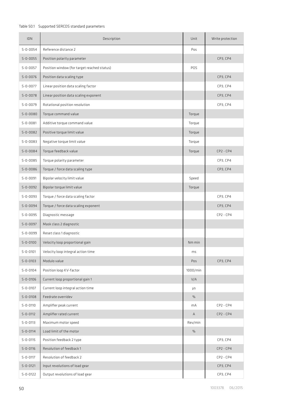# Table 50.1 Supported SERCOS standard parameters

| IDN            | Description                                 | Unit     | Write protection |
|----------------|---------------------------------------------|----------|------------------|
| $S - 0 - 0054$ | Reference distance 2                        | Pos      |                  |
| $S - 0 - 0055$ | Position polarity parameter                 |          | CP3, CP4         |
| $S - 0 - 0057$ | Position window (for target reached status) | POS      |                  |
| $S - 0 - 0076$ | Position data scaling type                  |          | CP3, CP4         |
| $S - 0 - 0077$ | Linear position data scaling factor         |          | CP3, CP4         |
| $S - 0 - 0078$ | Linear position data scaling exponent       |          | CP3, CP4         |
| $S - 0 - 0079$ | Rotational position resolution              |          | CP3, CP4         |
| $S - 0 - 0080$ | Torque command value                        | Torque   |                  |
| $S - 0 - 0081$ | Additive torque command value               | Torque   |                  |
| $S - 0 - 0082$ | Positive torque limit value                 | Torque   |                  |
| $S - 0 - 0083$ | Negative torque limit value                 | Torque   |                  |
| $S - 0 - 0084$ | Torque feedback value                       | Torque   | $CP2 - CP4$      |
| $S - 0 - 0085$ | Torque polarity parameter                   |          | CP3, CP4         |
| $S - 0 - 0086$ | Torque / force data scaling type            |          | CP3, CP4         |
| $S - 0 - 0091$ | Bipolar velocity limit value                | Speed    |                  |
| $S - 0 - 0092$ | Bipolar torque limit value                  | Torque   |                  |
| $S - 0 - 0093$ | Torque / force data scaling factor          |          | CP3, CP4         |
| $S - 0 - 0094$ | Torque / force data scaling exponent        |          | CP3, CP4         |
| $S - 0 - 0095$ | Diagnostic message                          |          | $CP2 - CP4$      |
| $S - 0 - 0097$ | Mask class 2 diagnostic                     |          |                  |
| $S - 0 - 0099$ | Reset class 1 diagnostic                    |          |                  |
| $S - 0 - 0100$ | Velocity loop proportional gain             | Nm min   |                  |
| $S - 0 - 0101$ | Velocity loop integral action time          | ms       |                  |
| $S - 0 - 0103$ | Modulo value                                | Pos      | CP3, CP4         |
| $S - 0 - 0104$ | Position loop KV-factor                     | 1000/min |                  |
| $S - 0 - 0106$ | Current loop proportional gain 1            | V/A      |                  |
| $S - 0 - 0107$ | Current loop integral action time           | $\mu$ s  |                  |
| $S - 0 - 0108$ | Feedrate overridev                          | $\%$     |                  |
| $S - 0 - 0110$ | Amplifier peak current                      | mA       | $CP2 - CP4$      |
| $S - 0 - 0112$ | Amplifier rated current                     | А        | $CP2 - CP4$      |
| $S - 0 - 0113$ | Maximum motor speed                         | Rev/min  |                  |
| $S - 0 - 0114$ | Load limit of the motor                     | $\%$     |                  |
| $S - 0 - 0115$ | Position feedback 2 type                    |          | CP3, CP4         |
| $S - 0 - 0116$ | Resolution of feedback 1                    |          | $CP2 - CP4$      |
| $S - 0 - 0117$ | Resolution of feedback 2                    |          | $CP2 - CP4$      |
| $S - 0 - 0121$ | Input revolutions of load gear              |          | CP3, CP4         |
| $S - 0 - 0122$ | Output revolutions of load gear             |          | CP3, CP4         |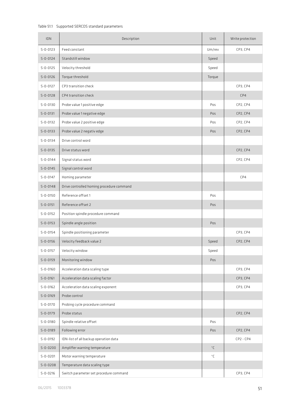## Table 51.1 Supported SERCOS standard parameters

| <b>IDN</b>     | Description                               | Unit   | Write protection |
|----------------|-------------------------------------------|--------|------------------|
| $S - 0 - 0123$ | Feed constant                             | Um/rev | CP3, CP4         |
| $S - 0 - 0124$ | Standstill window                         | Speed  |                  |
| $S - 0 - 0125$ | Velocity threshold                        | Speed  |                  |
| $S - 0 - 0126$ | Torque threshold                          | Torque |                  |
| $S - 0 - 0127$ | CP3 transition check                      |        | CP3, CP4         |
| $S - 0 - 0128$ | CP4 transition check                      |        | CP4              |
| $S - 0 - 0130$ | Probe value 1 positive edge               | Pos    | CP2, CP4         |
| $S - 0 - 0131$ | Probe value 1 negative edge               | Pos    | CP2, CP4         |
| $S - 0 - 0132$ | Probe value 2 positive edge               | Pos    | CP2, CP4         |
| $S - 0 - 0133$ | Probe value 2 negativ edge                | Pos    | CP2, CP4         |
| $S - 0 - 0134$ | Drive control word                        |        |                  |
| $S - 0 - 0135$ | Drive status word                         |        | CP2, CP4         |
| $S - 0 - 0144$ | Signal status word                        |        | CP2, CP4         |
| $S - 0 - 0145$ | Signal control word                       |        |                  |
| $S - 0 - 0147$ | Homing parameter                          |        | CP4              |
| $S - 0 - 0148$ | Drive controlled homing procedure command |        |                  |
| $S - 0 - 0150$ | Reference offset 1                        | Pos    |                  |
| $S - 0 - 0151$ | Reference offset 2                        | Pos    |                  |
| $S - 0 - 0152$ | Position spindle procedure command        |        |                  |
| $S - 0 - 0153$ | Spindle angle position                    | Pos    |                  |
| $S - 0 - 0154$ | Spindle positioning parameter             |        | CP3, CP4         |
| $S - 0 - 0156$ | Velocity feedback value 2                 | Speed  | CP2, CP4         |
| $S - 0 - 0157$ | Velocity window                           | Speed  |                  |
| $S - 0 - 0159$ | Monitoring window                         | Pos    |                  |
| $S - 0 - 0160$ | Acceleration data scaling type            |        | CP3, CP4         |
| $S - 0 - 0161$ | Acceleration data scaling factor          |        | CP3, CP4         |
| $S - 0 - 0162$ | Acceleration data scaling exponent        |        | CP3, CP4         |
| $S - 0 - 0169$ | Probe control                             |        |                  |
| $S - 0 - 0170$ | Probing cycle procedure command           |        |                  |
| $S - 0 - 0179$ | Probe status                              |        | CP2, CP4         |
| $S - 0 - 0180$ | Spindle relative offset                   | Pos    |                  |
| $S - 0 - 0189$ | Following error                           | Pos    | CP2, CP4         |
| $S - 0 - 0192$ | IDN-list of all backup operation data     |        | $CP2 - CP4$      |
| $S - 0 - 0200$ | Amplifier warning temperature             | °C     |                  |
| $S - 0 - 0201$ | Motor warning temperature                 | ۰c     |                  |
| $S - 0 - 0208$ | Temperature data scaling type             |        |                  |
| $S - 0 - 0216$ | Switch parameter set procedure command    |        | CP3, CP4         |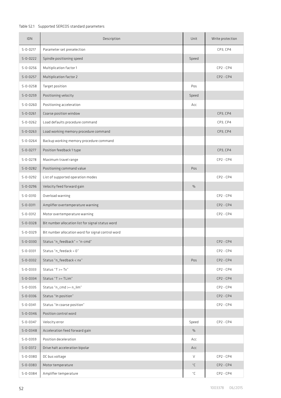# Table 52.1 Supported SERCOS standard parameters

| <b>IDN</b>                       | Description                                        | Unit     | Write protection           |
|----------------------------------|----------------------------------------------------|----------|----------------------------|
| $S - 0 - 0217$                   | Parameter set preselection                         |          | CP3, CP4                   |
| $S - 0 - 0222$                   | Spindle positioning speed                          | Speed    |                            |
| $S - 0 - 0256$                   | Multiplication factor 1                            |          | $CP2 - CP4$                |
| $S - 0 - 0257$                   | Multiplication factor 2                            |          | $CP2 - CP4$                |
| $S - 0 - 0258$                   | Target position                                    | Pos      |                            |
| $S - 0 - 0259$                   | Positioning velocity                               | Speed    |                            |
| $S - 0 - 0260$                   | Positioning acceleration                           | Асс      |                            |
| $S - 0 - 0261$                   | Coarse position window                             |          | CP3, CP4                   |
| $S - 0 - 0262$                   | Load defaults procedure command                    |          | CP3, CP4                   |
| $S - 0 - 0263$                   | Load working memory procedure command              |          | CP3, CP4                   |
| $S - 0 - 0264$                   | Backup working memory procedure command            |          |                            |
| $S - 0 - 0277$                   | Position feedback 1 type                           |          | CP3, CP4                   |
| $S - 0 - 0278$                   | Maximum travel range                               |          | $CP2 - CP4$                |
| $S - 0 - 0282$                   | Positioning command value                          | Pos      |                            |
| $S - 0 - 0292$                   | List of supported operation modes                  |          | $CP2 - CP4$                |
| $S - 0 - 0296$                   | Velocity feed forward gain                         | $\%$     |                            |
| $S - 0 - 0310$                   | Overload warning                                   |          | $CP2 - CP4$                |
| $S - 0 - 0311$                   | Amplifier overtemperature warning                  |          | $CP2 - CP4$                |
| $S - 0 - 0312$                   | Motor overtemperature warning                      |          | $CP2 - CP4$                |
| $S - 0 - 0328$                   | Bit number allocation list for signal status word  |          |                            |
| $S - 0 - 0329$                   | Bit number allocation word for signal control word |          |                            |
| $S - 0 - 0330$                   | Status "n_feedback" = "n-cmd"                      |          | $CP2 - CP4$                |
| $S - 0 - 0331$                   | Status "n_feedack = 0"                             |          | $CP2 - CP4$                |
| $S - 0 - 0332$                   | Status "n_feedback < nx"                           | Pos      | $CP2 - CP4$                |
| $S - 0 - 0333$                   | Status "T >= Tx"                                   |          | $CP2 - CP4$                |
| $S - 0 - 0334$                   | Status "T >= TLim"                                 |          | $CP2 - CP4$                |
| $S - 0 - 0335$                   | Status "n_cmd >= n_lim"                            |          | $CP2 - CP4$                |
| $S - 0 - 0336$                   | Status "In position"                               |          | $CP2 - CP4$                |
| $S - 0 - 0341$                   | Status "In coarse position"                        |          | $CP2 - CP4$                |
| $S - 0 - 0346$                   | Position control word                              |          |                            |
| $S - 0 - 0347$                   | Velocity error                                     | Speed    | $CP2 - CP4$                |
| $S - 0 - 0348$                   | Acceleration feed forward gain                     | $\%$     |                            |
| $S - 0 - 0359$                   | Position deceleration                              | Асс      |                            |
| $S - 0 - 0372$                   | Drive halt acceleration bipolar                    | Acc      |                            |
| $S - 0 - 0380$                   | DC bus voltage                                     | V        | $CP2 - CP4$                |
| $S - 0 - 0383$<br>$S - 0 - 0384$ | Motor temperature<br>Amplifier temperature         | °C<br>۰c | $CP2 - CP4$<br>$CP2 - CP4$ |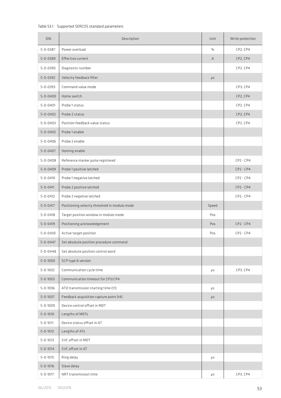## Table 53.1 Supported SERCOS standard parameters

| <b>IDN</b>                       | Description                                   | Unit  | Write protection |
|----------------------------------|-----------------------------------------------|-------|------------------|
| $S - 0 - 0387$                   | Power overload                                | $\%$  | CP2, CP4         |
| $S - 0 - 0389$                   | Effective current                             | Α     | CP2, CP4         |
| $S - 0 - 0390$                   | Diagnostic number                             |       | CP2, CP4         |
| $S - 0 - 0392$                   | Velocity feedback filter                      | μs    |                  |
| $S - 0 - 0393$                   | Command value mode                            |       | CP3, CP4         |
| $S - 0 - 0400$                   | Home switch                                   |       | CP2, CP4         |
| $S - 0 - 0401$                   | Probe 1 status                                |       | CP2, CP4         |
| $S - 0 - 0402$                   | Probe 2 status                                |       | CP2, CP4         |
| $S - 0 - 0403$                   | Position feedback value status                |       | CP2, CP4         |
| $S - 0 - 0405$                   | Probe 1 enable                                |       |                  |
| $S - 0 - 0406$                   | Probe 2 enable                                |       |                  |
| $S - 0 - 0407$                   | Homing enable                                 |       |                  |
| $S - 0 - 0408$                   | Reference marker pulse registered             |       | $CP2 - CP4$      |
| $S - 0 - 0409$                   | Probe 1 positive latched                      |       | $CP2 - CP4$      |
| $S - 0 - 0410$                   | Probe 1 negative latched                      |       | $CP2 - CP4$      |
| $S - 0 - 0411$                   | Probe 2 positive latched                      |       | $CP2 - CP4$      |
| $S - 0 - 0412$                   | Probe 2 negative latched                      |       | $CP2 - CP4$      |
| $S - 0 - 0417$                   | Positioning velocity threshold in modulo mode | Speed |                  |
| $S - 0 - 0418$                   | Target position window in modulo mode         | Pos   |                  |
| $S - 0 - 0419$                   | Positioning acknowledgement                   | Pos   | $CP2 - CP4$      |
| $S - 0 - 0430$                   | Active target position                        | Pos   | $CP2 - CP4$      |
| $S - 0 - 0447$                   | Set absolute position procedure command       |       |                  |
| $S - 0 - 0448$                   | Set absolute position control word            |       |                  |
| $S - 0 - 1000$                   | SCP type & version                            |       |                  |
| $S - 0 - 1002$                   | Communication cycle time                      | μs    | CP3, CP4         |
| $S - 0 - 1003$                   | Communication timeout for CP3/CP4             |       |                  |
| $S - 0 - 1006$                   | ATO transmission starting time (t1)           | μs    |                  |
| $S - 0 - 1007$                   | Feedback acquisition capture point (t4)       | μs    |                  |
| $S - 0 - 1009$                   | Device control offset in MDT                  |       |                  |
| $S - 0 - 1010$                   | Lengths of MDTs                               |       |                  |
| $S - 0 - 1011$                   | Device status offset in AT                    |       |                  |
| $S - 0 - 1012$                   | Lengths of ATs                                |       |                  |
| $S - 0 - 1013$                   | SVC offset in MDT                             |       |                  |
| $S - 0 - 1014$                   | SVC offset in AT                              |       |                  |
| $S - 0 - 1015$                   | Ring delay                                    | μs    |                  |
| $S - 0 - 1016$<br>$S - 0 - 1017$ | Slave delay<br>NRT transmission time          | μs    | CP3, CP4         |
|                                  |                                               |       |                  |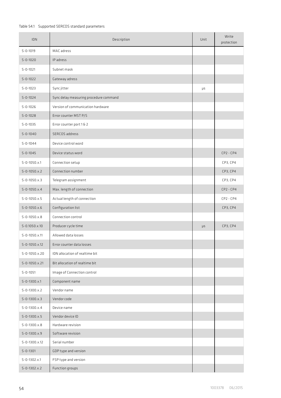## Table 54.1 Supported SERCOS standard parameters

| <b>IDN</b>            | Description                            | Unit | Write<br>protection |
|-----------------------|----------------------------------------|------|---------------------|
| $S - 0 - 1019$        | MAC adress                             |      |                     |
| $S - 0 - 1020$        | IP adress                              |      |                     |
| $S - 0 - 1021$        | Subnet mask                            |      |                     |
| $S - 0 - 1022$        | Gateway adress                         |      |                     |
| $S - 0 - 1023$        | Sync jitter                            | μs   |                     |
| $S - 0 - 1024$        | Sync delay measuring procedure command |      |                     |
| $S - 0 - 1026$        | Version of communication hardware      |      |                     |
| $S - 0 - 1028$        | Error counter MST P/S                  |      |                     |
| $S - 0 - 1035$        | Error counter port 1 & 2               |      |                     |
| $S - 0 - 1040$        | SERCOS address                         |      |                     |
| $S - 0 - 1044$        | Device control word                    |      |                     |
| $S - 0 - 1045$        | Device status word                     |      | $CP2 - CP4$         |
| $S - 0 - 1050.x.1$    | Connection setup                       |      | CP3, CP4            |
| $S - 0 - 1050.x.2$    | Connection number                      |      | CP3, CP4            |
| $S - 0 - 1050$ .x.3   | Telegram assignment                    |      | CP3, CP4            |
| $S - 0 - 1050.x.4$    | Max. length of connection              |      | $CP2 - CP4$         |
| $S - 0 - 1050$ . x. 5 | Actual length of connection            |      | $CP2 - CP4$         |
| $S - 0 - 1050.x.6$    | Configuration list                     |      | CP3, CP4            |
| $S - 0 - 1050$ .x.8   | Connection control                     |      |                     |
| $S - 0.1050.x.10$     | Producer cycle time                    | μs   | CP3, CP4            |
| $S - 0 - 1050$ .x.11  | Allowed data losses                    |      |                     |
| $S - 0 - 1050$ .x.12  | Error counter data losses              |      |                     |
| $S - 0 - 1050.x.20$   | IDN allocation of realtime bit         |      |                     |
| $S - 0 - 1050.x.21$   | Bit allocation of realtime bit         |      |                     |
| $S - 0 - 1051$        | Image of Connection control            |      |                     |
| $S - 0 - 1300.x.1$    | Component name                         |      |                     |
| $S - 0 - 1300.x.2$    | Vendor name                            |      |                     |
| $S - 0 - 1300.x.3$    | Vendor code                            |      |                     |
| $S - 0 - 1300$ .x.4   | Device name                            |      |                     |
| $S - 0 - 1300.x.5$    | Vendor device ID                       |      |                     |
| $S - 0 - 1300.x.8$    | Hardware revision                      |      |                     |
| $S - 0 - 1300.x.9$    | Software revision                      |      |                     |
| $S - 0 - 1300.x.12$   | Serial number                          |      |                     |
| $S - 0 - 1301$        | GDP type and version                   |      |                     |
| $S - 0 - 1302$ . x.1  | FSP type and version                   |      |                     |
| $S - 0 - 1302.x.2$    | Function groups                        |      |                     |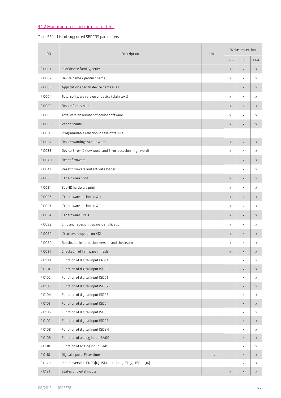# 9.1.2 Manufacturer-specific parameters

and the state of the state of

## Table 55.1 List of supported SERCOS parameters

|        | <b>IDN</b><br>Description                                 | Unit | Write protection |                         |              |  |
|--------|-----------------------------------------------------------|------|------------------|-------------------------|--------------|--|
|        |                                                           |      | CP <sub>2</sub>  | CP3                     | CP4          |  |
| P 0001 | Id of device familiy/series                               |      | X                | $\mathsf X$             | $\mathsf X$  |  |
| P 0002 | Device name / product name                                |      | X                | X                       | $\mathsf X$  |  |
| P0003  | Application specific device name alias                    |      |                  | X                       | X            |  |
| P0004  | Total software version of device (plain text)             |      | X                | Χ                       | X            |  |
| P 0005 | Device family name                                        |      | X                | X                       | X            |  |
| P 0006 | Total version number of device software                   |      | X                | X                       | x            |  |
| P0008  | Vendor name                                               |      | X                | X                       | X            |  |
| P 0030 | Programmable reaction in case of failure                  |      |                  |                         |              |  |
| P0034  | Device warnings status word                               |      | X                | $\mathsf X$             | X            |  |
| P 0039 | Device Error-ID (low word) and Error-Location (high word) |      | X                | X                       | X            |  |
| P0040  | Reset firmware                                            |      |                  | $\overline{\mathsf{x}}$ | $\times$     |  |
| P 0041 | Reset firmware and activate loader                        |      |                  | X                       | X            |  |
| P 0050 | ID hardware print                                         |      | X                | X                       | X            |  |
| P 0051 | Sub-ID hardware print                                     |      | X                | X                       | X            |  |
| P0052  | ID hardware option on X11                                 |      | X                | X                       | X            |  |
| P 0053 | ID hardware option on X12                                 |      | x                | $\mathsf{x}$            | Χ            |  |
| P0054  | ID hardware CPLD                                          |      | X                | X                       | X            |  |
| P 0055 | Chip and redesign tracing identification                  |      | X                | Χ                       | X            |  |
| P 0060 | ID software option on X12                                 |      | $\mathsf{x}$     | $\overline{\mathsf{x}}$ | $\mathsf{x}$ |  |
| P0080  | Bootloader information, version and checksum              |      | X                | $\times$                | x            |  |
| P 0081 | Checksum of firmware in flash                             |      | X                | X                       | X            |  |
| P 0100 | Function of digital input ENPO                            |      |                  | Χ                       | X            |  |
| P 0101 | Function of digital input ISD00                           |      |                  | X                       | X            |  |
| P 0102 | Function of digital input ISD01                           |      |                  | X                       | X            |  |
| P 0103 | Function of digital input ISD02                           |      |                  | X                       | X            |  |
| P 0104 | Function of digital input ISD03                           |      |                  | X                       | X            |  |
| P 0105 | Function of digital input ISD04                           |      |                  | $\overline{\mathsf{x}}$ | X            |  |
| P 0106 | Function of digital input ISD05                           |      |                  | Χ                       | Χ            |  |
| P 0107 | Function of digital input ISD06                           |      |                  | $\overline{\mathsf{x}}$ | X            |  |
| P 0108 | Function of digital input ISDSH                           |      |                  | Χ                       | X            |  |
| P 0109 | Function of analog input ISA00                            |      |                  | $\overline{X}$          | $\times$     |  |
| P 0110 | Function of analog input ISA01                            |      |                  | X                       | X            |  |
| P 0118 | Digital inputs: Filter time                               | ms   |                  | X                       | X            |  |
| P 0120 | Input inversion: ENPO[0], ISD0005[16], SH[7], ISD06[16]   |      |                  | Χ                       | Χ            |  |
| P 0121 | States of digital inputs                                  |      | X                | X                       | X            |  |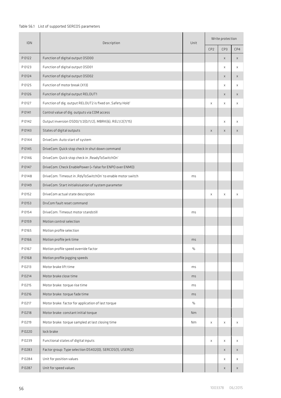## Table 56.1 List of supported SERCOS parameters

| IDN    | Description                                                  | Unit | Write protection        |              |              |  |
|--------|--------------------------------------------------------------|------|-------------------------|--------------|--------------|--|
|        |                                                              |      | CP <sub>2</sub>         | CP3          | CP4          |  |
| P 0122 | Function of digital output OSD00                             |      |                         | $\mathsf X$  | $\mathsf X$  |  |
| P 0123 | Function of digital output OSD01                             |      |                         | X            | X            |  |
| P 0124 | Function of digital output OSD02                             |      |                         | $\mathsf X$  | $\mathsf X$  |  |
| P 0125 | Function of motor break (X13)                                |      |                         | X            | Χ            |  |
| P 0126 | Function of digital output RELOUT1                           |      |                         | $\mathsf{x}$ | $\times$     |  |
| P 0127 | Function of dig. output RELOUT2 is fixed on , Safety Hold'   |      | X                       | X            | $\times$     |  |
| P 0141 | Control value of dig. outputs via COM access                 |      |                         |              |              |  |
| P 0142 | Output inversion OSD0/1/2(0/1/2), MBRK(6), REL1/2(7/15)      |      |                         | $\mathsf X$  | $\mathsf{x}$ |  |
| P 0143 | States of digital outputs                                    |      | $\overline{\mathsf{x}}$ | $\mathsf{x}$ | $\mathsf X$  |  |
| P 0144 | DriveCom: Auto start of system                               |      |                         |              |              |  |
| P 0145 | DriveCom: Quick stop check in shut down command              |      |                         |              |              |  |
| P 0146 | DriveCom: Quick stop check in , ReadyToSwitchOn'             |      |                         |              |              |  |
| P 0147 | DriveCom: Check EnablePower (= false for ENPO over ENMO)     |      |                         |              |              |  |
| P 0148 | DriveCom: Timeout in , RdyToSwitchOn' to enable motor switch | ms   |                         |              |              |  |
| P 0149 | DriveCom: Start initialisisation of system parameter         |      |                         |              |              |  |
| P 0152 | DriveCom actual state description                            |      | Χ                       | X            | X            |  |
| P 0153 | DrvCom fault reset command                                   |      |                         |              |              |  |
| P 0154 | DriveCom: Timeout motor standstill                           | ms   |                         |              |              |  |
| P 0159 | Motion control selection                                     |      |                         |              |              |  |
| P 0165 | Motion profile selection                                     |      |                         |              |              |  |
| P 0166 | Motion profile jerk time                                     | ms   |                         |              |              |  |
| P 0167 | Motion profile speed override factor                         | $\%$ |                         |              |              |  |
| P 0168 | Motion profile jogging speeds                                |      |                         |              |              |  |
| P 0213 | Motor brake lift time                                        | ms   |                         |              |              |  |
| P 0214 | Motor brake close time                                       | ms   |                         |              |              |  |
| P 0215 | Motor brake: torque rise time                                | ms   |                         |              |              |  |
| P 0216 | Motor brake: torque fade time                                | ms   |                         |              |              |  |
| P 0217 | Motor brake: factor for application of last torque           | $\%$ |                         |              |              |  |
| P 0218 | Motor brake: constant initial torque                         | Nm   |                         |              |              |  |
| P 0219 | Motor brake: torque sampled at last closing time             | Nm   | X                       | x            | X            |  |
| P0220  | lock brake                                                   |      |                         |              |              |  |
| P0239  | Functional states of digital inputs                          |      | x                       | X            | X            |  |
| P0283  | Factor group: Type selection DS402(0), SERCOS(1), USER(2)    |      |                         | X            | X            |  |
| P0284  | Unit for position values                                     |      |                         | X            | X            |  |
| P0287  | Unit for speed values                                        |      |                         | X            | X            |  |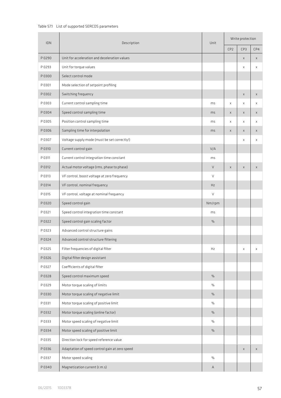## Table 57.1 List of supported SERCOS parameters

| IDN    | Description                                    | Unit          | Write protection |                         |             |  |
|--------|------------------------------------------------|---------------|------------------|-------------------------|-------------|--|
|        |                                                |               | CP <sub>2</sub>  | CP3                     | CP4         |  |
| P 0290 | Unit for acceleration and deceleration values  |               |                  | $\mathsf X$             | $\mathsf X$ |  |
| P 0293 | Unit for torque values                         |               |                  | X                       | $\mathsf X$ |  |
| P 0300 | Select control mode                            |               |                  |                         |             |  |
| P 0301 | Mode selection of setpoint profiling           |               |                  |                         |             |  |
| P 0302 | Switching frequency                            |               |                  | X                       | $\mathsf X$ |  |
| P 0303 | Current control sampling time                  | ms            | X                | X                       | $\mathsf X$ |  |
| P0304  | Speed control sampling time                    | ms            | X                | X                       | X           |  |
| P 0305 | Position control sampling time                 | ms            | X                | X                       | x           |  |
| P0306  | Sampling time for interpolation                | ms            | $\mathsf{x}$     | $\overline{\mathsf{x}}$ | $\mathsf X$ |  |
| P 0307 | Voltage supply mode (must be set correctly!)   |               |                  | X                       | X           |  |
| P 0310 | Current control gain                           | V/A           |                  |                         |             |  |
| P 0311 | Current control integration time constant      | ms            |                  |                         |             |  |
| P 0312 | Actual motor voltage (rms, phase to phase)     | V             | $\mathsf X$      | X                       | X           |  |
| P 0313 | VF control, boost voltage at zero frequency    | $\vee$        |                  |                         |             |  |
| P 0314 | VF control, nominal frequency                  | Hz            |                  |                         |             |  |
| P 0315 | VF control, voltage at nominal frequency       | V             |                  |                         |             |  |
| P0320  | Speed control gain                             | Nm/rpm        |                  |                         |             |  |
| P 0321 | Speed control integration time constant        | ms            |                  |                         |             |  |
| P0322  | Speed control gain scaling factor              | $\%$          |                  |                         |             |  |
| P 0323 | Advanced control structure gains               |               |                  |                         |             |  |
| P0324  | Advanced control structure filtering           |               |                  |                         |             |  |
| P 0325 | Filter frequencies of digital filter           | Hz            |                  | Χ                       | X           |  |
| P0326  | Digital filter design assistant                |               |                  |                         |             |  |
| P 0327 | Coefficients of digital filter                 |               |                  |                         |             |  |
| P0328  | Speed control maximum speed                    | $\%$          |                  |                         |             |  |
| P 0329 | Motor torque scaling of limits                 | $\frac{0}{0}$ |                  |                         |             |  |
| P 0330 | Motor torque scaling of negative limit         | $\frac{0}{0}$ |                  |                         |             |  |
| P 0331 | Motor torque scaling of positive limit         | $\frac{0}{0}$ |                  |                         |             |  |
| P 0332 | Motor torque scaling (online factor)           | $\%$          |                  |                         |             |  |
| P 0333 | Motor speed scaling of negative limit          | $\%$          |                  |                         |             |  |
| P0334  | Motor speed scaling of positive limit          | $\%$          |                  |                         |             |  |
| P 0335 | Direction lock for speed reference value       |               |                  |                         |             |  |
| P0336  | Adaptation of speed control gain at zero speed |               |                  | $\mathsf X$             | $\mathsf X$ |  |
| P 0337 | Motor speed scaling                            | %             |                  |                         |             |  |
| P0340  | Magnetization current (r.m.s)                  | $\mathsf A$   |                  |                         |             |  |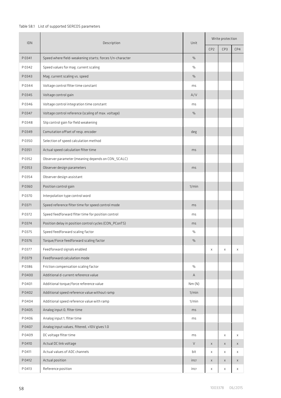## Table 58.1 List of supported SERCOS parameters

| IDN    | Description<br>Unit                                      | Write protection |                 |              |                         |
|--------|----------------------------------------------------------|------------------|-----------------|--------------|-------------------------|
|        |                                                          |                  | CP <sub>2</sub> | CP3          | CP4                     |
| P0341  | Speed where field-weakening starts; forces 1/n-character | $\%$             |                 |              |                         |
| P0342  | Speed values for mag. current scaling                    | $\%$             |                 |              |                         |
| P0343  | Mag. current scaling vs. speed                           | %                |                 |              |                         |
| P0344  | Voltage control filter time constant                     | ms               |                 |              |                         |
| P0345  | Voltage control gain                                     | A/V              |                 |              |                         |
| P0346  | Voltage control integration time constant                | ms               |                 |              |                         |
| P0347  | Voltage control reference (scaling of max. voltage)      | $\%$             |                 |              |                         |
| P0348  | Slip control gain for field weakening                    |                  |                 |              |                         |
| P0349  | Comutation offset of resp. encoder                       | deg              |                 |              |                         |
| P 0350 | Selection of speed calculation method                    |                  |                 |              |                         |
| P 0351 | Actual speed calculation filter time                     | ms               |                 |              |                         |
| P0352  | Observer parameter (meaning depends on CON_SCALC)        |                  |                 |              |                         |
| P0353  | Observer design parameters                               | ms               |                 |              |                         |
| P0354  | Observer design assistant                                |                  |                 |              |                         |
| P0360  | Position control gain                                    | 1/min            |                 |              |                         |
| P 0370 | Interpolation type control word                          |                  |                 |              |                         |
| P 0371 | Speed reference filter time for speed control mode       | ms               |                 |              |                         |
| P 0372 | Speed feedforward filter time for position control       | ms               |                 |              |                         |
| P 0374 | Position delay in position control cycles (CON_PConTS)   | ms               |                 |              |                         |
| P 0375 | Speed feedforward scaling factor                         | $\%$             |                 |              |                         |
| P 0376 | Torque/Force feedforward scaling factor                  | %                |                 |              |                         |
| P 0377 | Feedforward signals enabled                              |                  | X               | Χ            | Χ                       |
| P0379  | Feedforward calculation mode                             |                  |                 |              |                         |
| P0386  | Friction compensation scaling factor                     | $\%$             |                 |              |                         |
| P0400  | Additional d-current reference value                     | А                |                 |              |                         |
| P 0401 | Additional torque/force reference value                  | Nm(N)            |                 |              |                         |
| P0402  | Additional speed reference value without ramp            | 1/min            |                 |              |                         |
| P0404  | Additional speed reference value with ramp               | 1/min            |                 |              |                         |
| P0405  | Analog input 0, filter time                              | ms               |                 |              |                         |
| P0406  | Analog input 1, filter time                              | ms               |                 |              |                         |
| P0407  | Analog input values, filtered, +10V gives 1.0            |                  |                 |              |                         |
| P0409  | DC voltage filter time                                   | ms               |                 | X            | X                       |
| P 0410 | Actual DC link voltage                                   | V                | $\times$        | $\mathsf{x}$ | $\mathsf{x}$            |
| P 0411 | Actual values of ADC channels                            | bit              | X               | Χ            | Χ                       |
| P 0412 | Actual position                                          | incr             | X               | $\mathsf{x}$ | $\overline{\mathsf{x}}$ |
| P 0413 | Reference position                                       | incr             | $\mathbf{x}$    | $\mathbf x$  | $\mathsf{x}$            |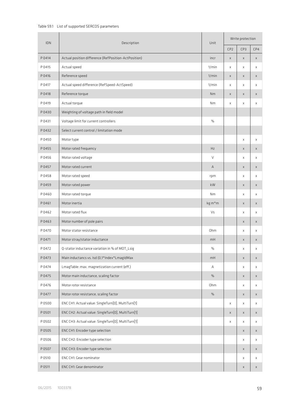## Table 59.1 List of supported SERCOS parameters

| <b>IDN</b> | Unit<br>Description                                  | Write protection |                 |                         |             |
|------------|------------------------------------------------------|------------------|-----------------|-------------------------|-------------|
|            |                                                      |                  | CP <sub>2</sub> | CP3                     | CP4         |
| P 0414     | Actual position difference (RefPosition-ActPosition) | incr             | $\mathsf X$     | $\mathsf X$             | X           |
| P 0415     | Actual speed                                         | 1/min            | X               | X                       | X           |
| P 0416     | Reference speed                                      | 1/min            | X               | X                       | X           |
| P 0417     | Actual speed difference (RefSpeed-ActSpeed)          | 1/min            | X               | X                       | X           |
| P 0418     | Reference torque                                     | Nm               | X               | X                       | X           |
| P 0419     | Actual torque                                        | Nm               | X               | X                       | X           |
| P0430      | Weighting of voltage path in field model             |                  |                 |                         |             |
| P 0431     | Voltage limit for current controllers                | $\%$             |                 |                         |             |
| P0432      | Select current control / limitation mode             |                  |                 |                         |             |
| P0450      | Motor type                                           |                  |                 | X                       | $\mathsf X$ |
| P0455      | Motor rated frequency                                | Hz               |                 | X                       | X           |
| P0456      | Motor rated voltage                                  | V                |                 | Χ                       | Χ           |
| P0457      | Motor rated current                                  | Α                |                 | X                       | X           |
| P0458      | Motor rated speed                                    | rpm              |                 | X                       | X           |
| P0459      | Motor rated power                                    | kW               |                 | X                       | X           |
| P0460      | Motor rated torque                                   | Nm               |                 | X                       | X           |
| P0461      | Motor inertia                                        | kg m*m           |                 | X                       | X           |
| P0462      | Motor rated flux                                     | Vs               |                 | Χ                       | X           |
| P0463      | Motor number of pole pairs                           |                  |                 | X                       | X           |
| P 0470     | Motor stator resistance                              | Ohm              |                 | Χ                       | X           |
| P 0471     | Motor stray/stator inductance                        | mH               |                 | $\mathsf X$             | X           |
| P 0472     | Q-stator inductance variation in % of MOT_Lsig       | $\%$             |                 | Χ                       | X           |
| P0473      | Main inductancs vs. Isd (0,1*Index*LmagIdMax         | mH               |                 | $\mathsf X$             | X           |
| P 0474     | LmagTable: max. magnetization current (eff.)         | Α                |                 | X                       | X           |
| P0475      | Motor main inductance, scaling factor                | $\%$             |                 | $\mathsf{x}$            | X           |
| P0476      | Motor rotor resistance                               | Ohm              |                 | X                       | X           |
| P 0477     | Motor rotor resistance, scaling factor               | $\%$             |                 | $\times$                | X           |
| P 0500     | ENC CH1: Actual value: SingleTurn[0], MultiTurn[1]   |                  | x               | X                       | X           |
| P 0501     | ENC CH2: Actual value: SingleTurn[0], MultiTurn[1]   |                  | $\mathsf{x}$    | $\mathsf{x}$            | X           |
| P 0502     | ENC CH3: Actual value: SingleTurn[0], MultiTurn[1]   |                  | X               | X                       | X           |
| P 0505     | ENC CH1: Encoder type selection                      |                  |                 | $\mathsf X$             | X           |
| P 0506     | ENC CH2: Encoder type selection                      |                  |                 | X                       | X           |
| P 0507     | ENC CH3: Encoder type selection                      |                  |                 | X                       | X           |
| P 0510     | ENC CH1: Gear nominator                              |                  |                 | X                       | X           |
| P 0511     | ENC CH1: Gear denominator                            |                  |                 | $\overline{\mathsf{x}}$ | X           |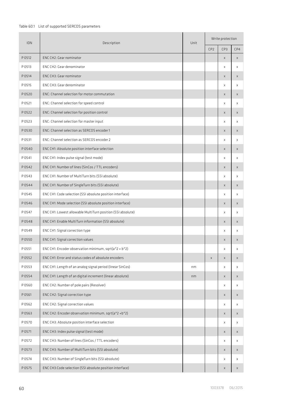## Table 60.1 List of supported SERCOS parameters

| <b>IDN</b> | Description                                                 | Unit | Write protection |                         |                         |
|------------|-------------------------------------------------------------|------|------------------|-------------------------|-------------------------|
|            |                                                             |      | CP <sub>2</sub>  | CP3                     | CP4                     |
| P 0512     | ENC CH2: Gear nominator                                     |      |                  | $\mathsf X$             | $\mathsf X$             |
| P 0513     | ENC CH2: Gear denominator                                   |      |                  | X                       | X                       |
| P 0514     | ENC CH3: Gear nominator                                     |      |                  | X                       | X                       |
| P 0515     | ENC CH3: Gear denominator                                   |      |                  | X                       | X                       |
| P0520      | ENC: Channel selection for motor commutation                |      |                  | X                       | X                       |
| P 0521     | ENC: Channel selection for speed control                    |      |                  | X                       | X                       |
| P0522      | ENC: Channel selection for position control                 |      |                  | X                       | $\mathsf X$             |
| P 0523     | ENC: Channel selection for master input                     |      |                  | X                       | $\times$                |
| P0530      | ENC: Channel selection as SERCOS encoder 1                  |      |                  | $\mathsf{x}$            | $\mathsf{x}$            |
| P 0531     | ENC: Channel selection as SERCOS encoder 2                  |      |                  | X                       | Χ                       |
| P0540      | ENC CH1: Absolute position interface selection              |      |                  | $\mathsf{x}$            | $\mathsf{x}$            |
| P 0541     | ENC CH1: Index pulse signal (test mode)                     |      |                  | X                       | X                       |
| P0542      | ENC CH1: Number of lines (SinCos / TTL encoders)            |      |                  | $\mathsf{x}$            | $\mathsf{x}$            |
| P0543      | ENC CH1: Number of MultiTurn bits (SSI absolute)            |      |                  | X                       | X                       |
| P0544      | ENC CH1: Number of SingleTurn bits (SSI absolute)           |      |                  | $\mathsf X$             | X                       |
| P0545      | ENC CH1: Code selection (SSI absolute position interface)   |      |                  | X                       | X                       |
| P0546      | ENC CH1: Mode selection (SSI absolute position interface)   |      |                  | X                       | X                       |
| P0547      | ENC CH1: Lowest allowable MultiTurn position (SSI absolute) |      |                  | Χ                       | X                       |
| P0548      | ENC CH1: Enable MultiTurn information (SSI absolute)        |      |                  | x                       | $\mathsf X$             |
| P 0549     | ENC CH1: Signal correction type                             |      |                  | X                       | X                       |
| P 0550     | ENC CH1: Signal correction values                           |      |                  | X                       | $\mathsf X$             |
| P 0551     | ENC CH1: Encoder observation minimum, sqrt(a^2 + b^2)       |      |                  | X                       | X                       |
| P0552      | ENC CH1: Error and status codes of absolute encoders        |      | $\times$         | $\mathsf{x}$            | $\mathsf{x}$            |
| P0553      | ENC CH1: Length of an analog signal period (linear SinCos)  | nm   |                  | X                       | X                       |
| P0554      | ENC CH1: Length of an digital increment (linear absolute)   | nm   |                  | $\mathsf{x}$            | $\mathsf{x}$            |
| P0560      | ENC CH2: Number of pole pairs (Resolver)                    |      |                  | X                       | X                       |
| P 0561     | ENC CH2: Signal correction type                             |      |                  | $\mathsf{x}$            | $\overline{\mathsf{x}}$ |
| P0562      | ENC CH2: Signal correction values                           |      |                  | $\mathbf x$             | $\mathsf{x}$            |
| P0563      | ENC CH2: Encoder observation minimum, sqrt(a^2 +b^2)        |      |                  | $\mathsf{x}$            | $\times$                |
| P 0570     | ENC CH3: Absolute position interface selection              |      |                  | X                       | $\times$                |
| P 0571     | ENC CH3: Index pulse signal (test mode)                     |      |                  | X                       | $\mathsf X$             |
| P 0572     | ENC CH3: Number of lines (SinCos / TTL encoders)            |      |                  | X                       | Χ                       |
| P 0573     | ENC CH3: Number of MultiTurn bits (SSI absolute)            |      |                  | X                       | $\mathsf X$             |
| P 0574     | ENC CH3: Number of SingleTurn bits (SSI absolute)           |      |                  | X                       | Χ                       |
| P0575      | ENC CH3:Code selection (SSI absolute position interface)    |      |                  | $\overline{\mathsf{x}}$ | $\overline{\mathsf{x}}$ |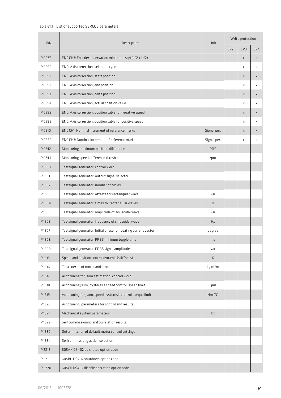## Table 61.1 List of supported SERCOS parameters

| <b>IDN</b> | Description                                                     | Unit         | Write protection |                         |              |
|------------|-----------------------------------------------------------------|--------------|------------------|-------------------------|--------------|
|            |                                                                 |              | CP <sub>2</sub>  | CP3                     | CP4          |
| P 0577     | ENC CH3: Encoder observation minimum, sqrt(a^2 + b^2)           |              |                  | X                       | $\mathsf X$  |
| P 0590     | ENC: Axis correction, selection type                            |              |                  | Χ                       | $\mathsf X$  |
| P0591      | ENC: Axis correction, start position                            |              |                  | X                       | X            |
| P 0592     | ENC: Axis correction, end position                              |              |                  | Χ                       | Χ            |
| P0593      | ENC: Axis correction, delta position                            |              |                  | $\overline{\mathsf{x}}$ | $\mathsf X$  |
| P0594      | ENC: Axis correction, actual position value                     |              |                  | X                       | X            |
| P0595      | ENC: Axis correction, position table for negative speed         |              |                  | $\overline{\mathsf{x}}$ | $\mathsf{x}$ |
| P 0596     | ENC: Axis correction, position table for positive speed         |              |                  | X                       | X            |
| P 0610     | ENC CH1: Nominal increment of reference marks                   | Signal per.  |                  | $\overline{\mathsf{x}}$ | $\mathsf{x}$ |
| P 0630     | ENC CH3: Nominal increment of reference marks                   | Signal per.  |                  | X                       | Χ            |
| P 0742     | Monitoring maximum position difference                          | POS          |                  |                         |              |
| P 0744     | Monitoring speed difference threshold                           | rpm          |                  |                         |              |
| P1500      | Testsignal generator: control word                              |              |                  |                         |              |
| P1501      | Testsignal generator: output signal selector                    |              |                  |                         |              |
| P1502      | Testsignal generator: number of cycles                          |              |                  |                         |              |
| P1503      | Testsignal generator: offsets for rectangular wave              | var          |                  |                         |              |
| P1504      | Testsignal generator: times for rectangular waves               | $\mathsf{s}$ |                  |                         |              |
| P1505      | Testsignal generator: amplitude of sinusoidal wave              | var          |                  |                         |              |
| P1506      | Testsignal generator: frequency of sinusoidal wave              | Hz           |                  |                         |              |
| P1507      | Testsignal generator: Initial phase for rotating current vector | degree       |                  |                         |              |
| P1508      | Testsignal generator: PRBS mininum toggle time                  | ms           |                  |                         |              |
| P1509      | Testsignal generator: PRBS signal amplitude                     | var          |                  |                         |              |
| P 1515     | Speed and position control dynamic (stiffness)                  | %            |                  |                         |              |
| P 1516     | Total inertia of motor and plant                                | kg m*m       |                  |                         |              |
| P 1517     | Autotuning for Jsum estimation, control word                    |              |                  |                         |              |
| P 1518     | Autotuning Jsum, hysteresis speed control, speed limit          | rpm          |                  |                         |              |
| P 1519     | Autotuning for Jsum, speed hysteresis control, torque limit     | Nm(N)        |                  |                         |              |
| P1520      | Autotuning, parameters for control and results                  |              |                  |                         |              |
| P1521      | Mechanical system parameters                                    | Hz           |                  |                         |              |
| P1522      | Self commissioning and correlation results                      |              |                  |                         |              |
| P1530      | Determination of default motor control settings                 |              |                  |                         |              |
| P 1531     | Selfcommissiong action selection                                |              |                  |                         |              |
| P 2218     | 605AH DS402 quickstop option code                               |              |                  |                         |              |
| P 2219     | 605BH DS402 shutdown option code                                |              |                  |                         |              |
| P 2220     | 605CH DS402 disable operation option code                       |              |                  |                         |              |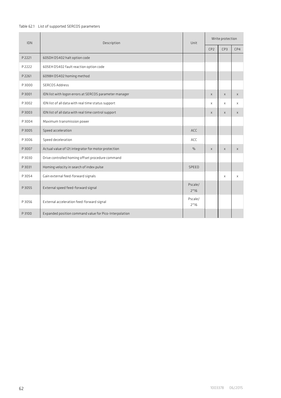## Table 62.1 List of supported SERCOS parameters

| <b>IDN</b>  | Description                                            | Unit                      | Write protection |              |              |
|-------------|--------------------------------------------------------|---------------------------|------------------|--------------|--------------|
|             |                                                        |                           | CP <sub>2</sub>  | CP3          | CP4          |
| P 2221      | 605DH DS402 halt option code                           |                           |                  |              |              |
| P 2222      | 605EH DS402 fault reaction option code                 |                           |                  |              |              |
| P 2261      | 6098H DS402 homing method                              |                           |                  |              |              |
| P3000       | <b>SERCOS Address</b>                                  |                           |                  |              |              |
| P3001       | IDN list with logon errors at SERCOS parameter manager |                           | X                | $\mathsf{x}$ | $\times$     |
| P3002       | IDN list of all data with real time status support     |                           | X                | X            | X            |
| <b>FOOS</b> | IDN list of all data with real time control support    |                           | X                | X            | $\times$     |
| P3004       | Maximum transmission power                             |                           |                  |              |              |
| P3005       | Speed acceleration                                     | ACC                       |                  |              |              |
| P3006       | Speed deceleration                                     | ACC                       |                  |              |              |
| P3007       | Actual value of I2t integrator for motor protection    | $\%$                      | X                | $\mathsf{x}$ | $\mathsf{x}$ |
| P3030       | Drive controlled homing offset procedure command       |                           |                  |              |              |
| P 3031      | Homing velocity in search of index pulse               | <b>SPFFD</b>              |                  |              |              |
| P3054       | Gain external feed-forward signals                     |                           |                  | $\mathsf{x}$ | $\times$     |
| P3055       | External speed feed-forward signal                     | Pscale/<br>$2^16$         |                  |              |              |
| P3056       | External acceleration feed-forward signal              | Pscale/<br>$2^{\wedge}16$ |                  |              |              |
| P 3100      | Expanded position command value for Pico-Interpolation |                           |                  |              |              |